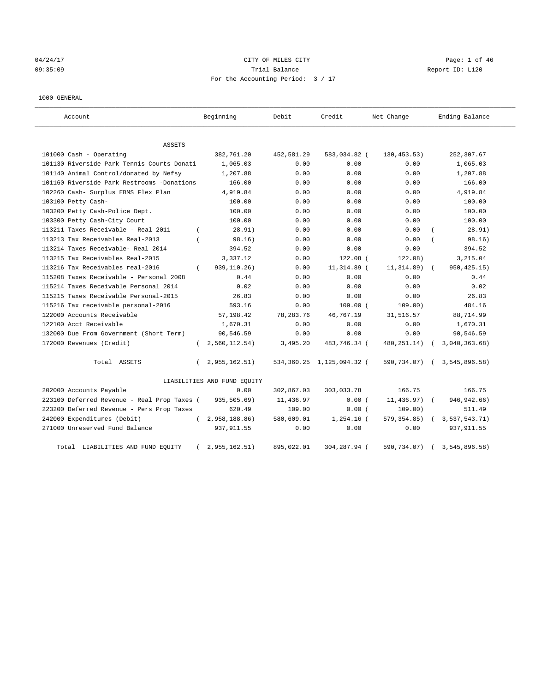# 04/24/17 Page: 1 of 46 09:35:09 Trial Balance Report ID: L120 For the Accounting Period: 3 / 17

#### 1000 GENERAL

| Account                                     |            | Beginning                   | Debit      | Credit                    | Net Change    | Ending Balance |
|---------------------------------------------|------------|-----------------------------|------------|---------------------------|---------------|----------------|
| <b>ASSETS</b>                               |            |                             |            |                           |               |                |
| 101000 Cash - Operating                     |            | 382,761.20                  | 452,581.29 | 583,034.82 (              | 130, 453.53)  | 252,307.67     |
| 101130 Riverside Park Tennis Courts Donati  |            | 1,065.03                    | 0.00       | 0.00                      | 0.00          | 1,065.03       |
| 101140 Animal Control/donated by Nefsy      |            | 1,207.88                    | 0.00       | 0.00                      | 0.00          | 1,207.88       |
| 101160 Riverside Park Restrooms -Donations  |            | 166.00                      | 0.00       | 0.00                      | 0.00          | 166.00         |
| 102260 Cash- Surplus EBMS Flex Plan         |            | 4,919.84                    | 0.00       | 0.00                      | 0.00          | 4,919.84       |
| 103100 Petty Cash-                          |            | 100.00                      | 0.00       | 0.00                      | 0.00          | 100.00         |
| 103200 Petty Cash-Police Dept.              |            | 100.00                      | 0.00       | 0.00                      | 0.00          | 100.00         |
| 103300 Petty Cash-City Court                |            | 100.00                      | 0.00       | 0.00                      | 0.00          | 100.00         |
| 113211 Taxes Receivable - Real 2011         | $\left($   | 28.91)                      | 0.00       | 0.00                      | 0.00          | 28.91)         |
| 113213 Tax Receivables Real-2013            |            | 98.16)                      | 0.00       | 0.00                      | 0.00          | 98.16)         |
| 113214 Taxes Receivable- Real 2014          |            | 394.52                      | 0.00       | 0.00                      | 0.00          | 394.52         |
| 113215 Tax Receivables Real-2015            |            | 3,337.12                    | 0.00       | $122.08$ (                | 122.08)       | 3,215.04       |
| 113216 Tax Receivables real-2016            | $\left($   | 939,110.26)                 | 0.00       | 11,314.89 (               | 11, 314.89)   | 950, 425.15)   |
| 115208 Taxes Receivable - Personal 2008     |            | 0.44                        | 0.00       | 0.00                      | 0.00          | 0.44           |
| 115214 Taxes Receivable Personal 2014       |            | 0.02                        | 0.00       | 0.00                      | 0.00          | 0.02           |
| 115215 Taxes Receivable Personal-2015       |            | 26.83                       | 0.00       | 0.00                      | 0.00          | 26.83          |
| 115216 Tax receivable personal-2016         |            | 593.16                      | 0.00       | $109.00$ $($              | 109.00        | 484.16         |
| 122000 Accounts Receivable                  |            | 57,198.42                   | 78,283.76  | 46,767.19                 | 31,516.57     | 88,714.99      |
| 122100 Acct Receivable                      |            | 1,670.31                    | 0.00       | 0.00                      | 0.00          | 1,670.31       |
| 132000 Due From Government (Short Term)     |            | 90,546.59                   | 0.00       | 0.00                      | 0.00          | 90,546.59      |
| 172000 Revenues (Credit)                    | $\epsilon$ | 2,560,112.54)               | 3,495.20   | 483,746.34 (              | 480, 251. 14) | 3,040,363.68)  |
| Total ASSETS                                | $\left($   | 2,955,162.51)               |            | 534,360.25 1,125,094.32 ( | 590,734.07)   | 3,545,896.58   |
|                                             |            | LIABILITIES AND FUND EQUITY |            |                           |               |                |
| 202000 Accounts Payable                     |            | 0.00                        | 302,867.03 | 303,033.78                | 166.75        | 166.75         |
| 223100 Deferred Revenue - Real Prop Taxes ( |            | 935,505.69)                 | 11,436.97  | 0.00(                     | 11,436.97)    | 946, 942.66)   |
| 223200 Deferred Revenue - Pers Prop Taxes   |            | 620.49                      | 109.00     | 0.00(                     | 109.00)       | 511.49         |
| 242000 Expenditures (Debit)                 | $\left($   | 2,958,188.86)               | 580,609.01 | $1,254.16$ (              | 579, 354.85)  | 3,537,543.71)  |
| 271000 Unreserved Fund Balance              |            | 937, 911.55                 | 0.00       | 0.00                      | 0.00          | 937, 911.55    |
| Total LIABILITIES AND FUND EQUITY           |            | 2,955,162.51)               | 895,022.01 | 304,287.94 (              | 590,734.07)   | 3,545,896.58)  |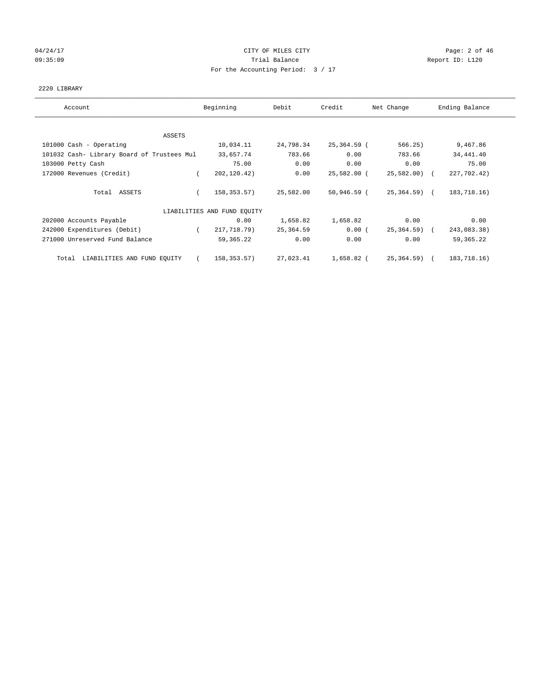## 04/24/17 Page: 2 of 46 09:35:09 Report ID: L120 For the Accounting Period: 3 / 17

#### 2220 LIBRARY

| Account                                    | Beginning                   | Debit     | Credit      | Net Change    | Ending Balance |
|--------------------------------------------|-----------------------------|-----------|-------------|---------------|----------------|
| <b>ASSETS</b>                              |                             |           |             |               |                |
| 101000 Cash - Operating                    | 10,034.11                   | 24,798.34 | 25,364.59 ( | 566.25)       | 9,467.86       |
| 101032 Cash- Library Board of Trustees Mul | 33,657.74                   | 783.66    | 0.00        | 783.66        | 34,441.40      |
| 103000 Petty Cash                          | 75.00                       | 0.00      | 0.00        | 0.00          | 75.00          |
| 172000 Revenues (Credit)                   | 202,120.42)                 | 0.00      | 25,582.00 ( | $25,582.00$ ( | 227,702.42)    |
| Total ASSETS                               | 158,353.57)                 | 25,582.00 | 50,946.59 ( | 25,364.59) (  | 183,718.16)    |
|                                            | LIABILITIES AND FUND EQUITY |           |             |               |                |
| 202000 Accounts Payable                    | 0.00                        | 1,658.82  | 1,658.82    | 0.00          | 0.00           |
| 242000 Expenditures (Debit)                | 217,718.79)<br>$\sqrt{2}$   | 25,364.59 | 0.00(       | 25,364.59) (  | 243,083.38)    |
| 271000 Unreserved Fund Balance             | 59,365.22                   | 0.00      | 0.00        | 0.00          | 59, 365. 22    |
| Total LIABILITIES AND FUND EQUITY          | 158,353.57)                 | 27,023.41 | 1,658.82 (  | 25,364.59) (  | 183,718.16)    |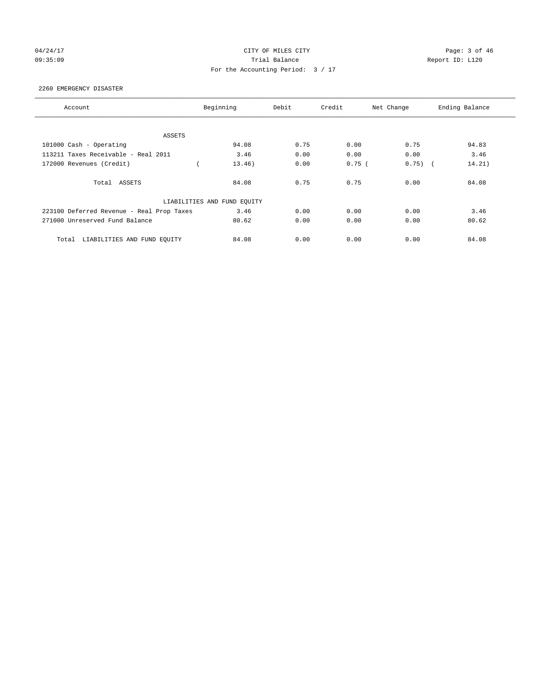# 04/24/17 Page: 3 of 46 09:35:09 Trial Balance Report ID: L120 For the Accounting Period: 3 / 17

#### 2260 EMERGENCY DISASTER

| Account                                   | Beginning                   | Debit | Credit   | Net Change | Ending Balance |
|-------------------------------------------|-----------------------------|-------|----------|------------|----------------|
|                                           |                             |       |          |            |                |
| ASSETS                                    |                             |       |          |            |                |
| 101000 Cash - Operating                   | 94.08                       | 0.75  | 0.00     | 0.75       | 94.83          |
| 113211 Taxes Receivable - Real 2011       | 3.46                        | 0.00  | 0.00     | 0.00       | 3.46           |
| 172000 Revenues (Credit)                  | 13.46)                      | 0.00  | $0.75$ ( | $0.75)$ (  | 14.21)         |
| Total ASSETS                              | 84.08                       | 0.75  | 0.75     | 0.00       | 84.08          |
|                                           | LIABILITIES AND FUND EQUITY |       |          |            |                |
| 223100 Deferred Revenue - Real Prop Taxes | 3.46                        | 0.00  | 0.00     | 0.00       | 3.46           |
| 271000 Unreserved Fund Balance            | 80.62                       | 0.00  | 0.00     | 0.00       | 80.62          |
| LIABILITIES AND FUND EQUITY<br>Total      | 84.08                       | 0.00  | 0.00     | 0.00       | 84.08          |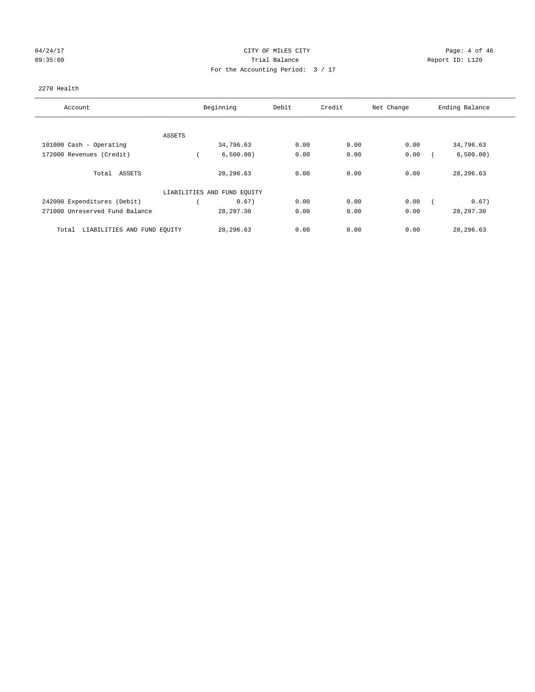# 04/24/17 CITY OF MILES CITY CHECK CITY CHECK Page: 4 of 46 09:35:09 Trial Balance Report ID: L120 For the Accounting Period: 3 / 17

#### 2270 Health

| Account                              | Beginning                   | Debit | Credit | Net Change | Ending Balance |
|--------------------------------------|-----------------------------|-------|--------|------------|----------------|
| ASSETS                               |                             |       |        |            |                |
| 101000 Cash - Operating              | 34,796.63                   | 0.00  | 0.00   | 0.00       | 34,796.63      |
| 172000 Revenues (Credit)             | 6,500.00)                   | 0.00  | 0.00   | 0.00       | 6,500.00)      |
| Total ASSETS                         | 28,296.63                   | 0.00  | 0.00   | 0.00       | 28,296.63      |
|                                      | LIABILITIES AND FUND EQUITY |       |        |            |                |
| 242000 Expenditures (Debit)          | 0.67)                       | 0.00  | 0.00   | 0.00       | 0.67)          |
| 271000 Unreserved Fund Balance       | 28, 297.30                  | 0.00  | 0.00   | 0.00       | 28, 297.30     |
| LIABILITIES AND FUND EQUITY<br>Total | 28,296.63                   | 0.00  | 0.00   | 0.00       | 28, 296.63     |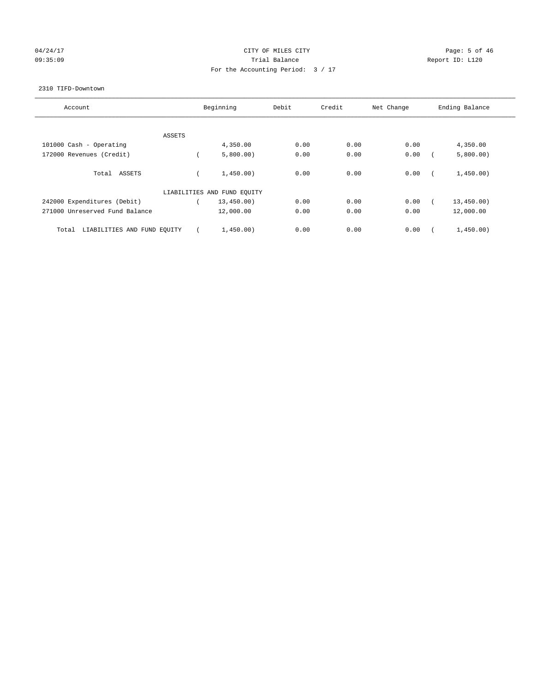# 04/24/17 Page: 5 of 46 09:35:09 Report ID: L120 For the Accounting Period: 3 / 17

#### 2310 TIFD-Downtown

| Account                              | Beginning                   | Debit | Credit | Net Change | Ending Balance |
|--------------------------------------|-----------------------------|-------|--------|------------|----------------|
|                                      |                             |       |        |            |                |
| ASSETS                               |                             |       |        |            |                |
| 101000 Cash - Operating              | 4,350.00                    | 0.00  | 0.00   | 0.00       | 4,350.00       |
| 172000 Revenues (Credit)             | 5,800.00)                   | 0.00  | 0.00   | 0.00       | 5,800.00)      |
| Total ASSETS                         | 1,450.00)                   | 0.00  | 0.00   | 0.00       | 1,450.00)      |
|                                      | LIABILITIES AND FUND EQUITY |       |        |            |                |
| 242000 Expenditures (Debit)          | 13,450.00)                  | 0.00  | 0.00   | 0.00       | 13,450.00)     |
| 271000 Unreserved Fund Balance       | 12,000.00                   | 0.00  | 0.00   | 0.00       | 12,000.00      |
| LIABILITIES AND FUND EQUITY<br>Total | 1,450.00)                   | 0.00  | 0.00   | 0.00       | 1,450.00)      |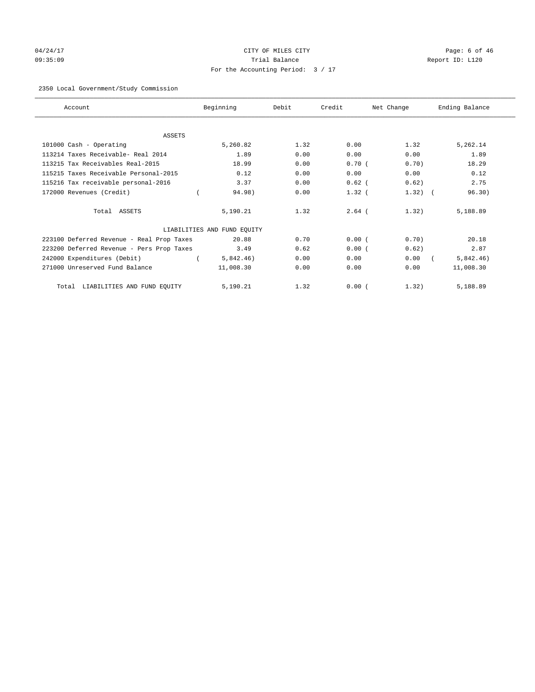# 04/24/17 Page: 6 of 46 09:35:09 Trial Balance Report ID: L120 For the Accounting Period: 3 / 17

## 2350 Local Government/Study Commission

| Account                                   | Beginning                   | Debit | Credit   | Net Change | Ending Balance |
|-------------------------------------------|-----------------------------|-------|----------|------------|----------------|
|                                           |                             |       |          |            |                |
| <b>ASSETS</b>                             |                             |       |          |            |                |
| 101000 Cash - Operating                   | 5,260.82                    | 1.32  | 0.00     | 1.32       | 5,262.14       |
| 113214 Taxes Receivable- Real 2014        | 1.89                        | 0.00  | 0.00     | 0.00       | 1.89           |
| 113215 Tax Receivables Real-2015          | 18.99                       | 0.00  | 0.70(    | 0.70)      | 18.29          |
| 115215 Taxes Receivable Personal-2015     | 0.12                        | 0.00  | 0.00     | 0.00       | 0.12           |
| 115216 Tax receivable personal-2016       | 3.37                        | 0.00  | $0.62$ ( | 0.62)      | 2.75           |
| 172000 Revenues (Credit)                  | 94.98)                      | 0.00  | $1.32$ ( | $1.32)$ (  | 96.30)         |
| Total ASSETS                              | 5,190.21                    | 1.32  | $2.64$ ( | 1.32)      | 5,188.89       |
|                                           | LIABILITIES AND FUND EQUITY |       |          |            |                |
| 223100 Deferred Revenue - Real Prop Taxes | 20.88                       | 0.70  | 0.00(    | 0.70       | 20.18          |
| 223200 Deferred Revenue - Pers Prop Taxes | 3.49                        | 0.62  | 0.00(    | 0.62)      | 2.87           |
| 242000 Expenditures (Debit)               | 5,842.46)                   | 0.00  | 0.00     | 0.00       | 5,842.46)      |
| 271000 Unreserved Fund Balance            | 11,008.30                   | 0.00  | 0.00     | 0.00       | 11,008.30      |
| LIABILITIES AND FUND EQUITY<br>Total      | 5,190.21                    | 1.32  | 0.00(    | 1.32)      | 5,188.89       |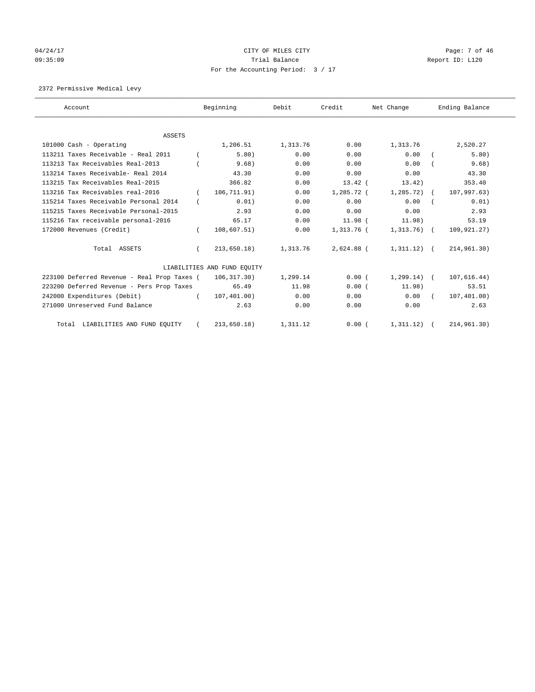# 04/24/17 Page: 7 of 46 09:35:09 Report ID: L120 For the Accounting Period: 3 / 17

2372 Permissive Medical Levy

| Account                                     |          | Beginning                   | Debit    | Credit       | Net Change      | Ending Balance |
|---------------------------------------------|----------|-----------------------------|----------|--------------|-----------------|----------------|
|                                             |          |                             |          |              |                 |                |
| <b>ASSETS</b>                               |          |                             |          |              |                 |                |
| 101000 Cash - Operating                     |          | 1,206.51                    | 1,313.76 | 0.00         | 1,313.76        | 2,520.27       |
| 113211 Taxes Receivable - Real 2011         |          | 5.80)                       | 0.00     | 0.00         | 0.00            | 5.80)          |
| 113213 Tax Receivables Real-2013            |          | 9.68)                       | 0.00     | 0.00         | 0.00            | 9.68)          |
| 113214 Taxes Receivable- Real 2014          |          | 43.30                       | 0.00     | 0.00         | 0.00            | 43.30          |
| 113215 Tax Receivables Real-2015            |          | 366.82                      | 0.00     | $13.42$ (    | 13.42)          | 353.40         |
| 113216 Tax Receivables real-2016            |          | 106,711.91)                 | 0.00     | $1,285.72$ ( | $1,285.72$ (    | 107,997.63)    |
| 115214 Taxes Receivable Personal 2014       |          | 0.01)                       | 0.00     | 0.00         | 0.00            | 0.01)          |
| 115215 Taxes Receivable Personal-2015       |          | 2.93                        | 0.00     | 0.00         | 0.00            | 2.93           |
| 115216 Tax receivable personal-2016         |          | 65.17                       | 0.00     | 11.98 (      | 11.98)          | 53.19          |
| 172000 Revenues (Credit)                    |          | 108,607.51)                 | 0.00     | 1,313.76 (   | $1,313.76$ (    | 109,921.27)    |
| Total ASSETS                                |          | $213,650.18$ )              | 1,313.76 | 2,624.88 (   | $1,311.12)$ (   | 214,961.30)    |
|                                             |          | LIABILITIES AND FUND EOUITY |          |              |                 |                |
| 223100 Deferred Revenue - Real Prop Taxes ( |          | 106, 317.30)                | 1,299.14 | 0.00(        | $1, 299.14$ ) ( | 107,616.44)    |
| 223200 Deferred Revenue - Pers Prop Taxes   |          | 65.49                       | 11.98    | 0.00(        | 11.98)          | 53.51          |
| 242000 Expenditures (Debit)                 | $\left($ | 107, 401.00)                | 0.00     | 0.00         | 0.00            | 107,401.00)    |
| 271000 Unreserved Fund Balance              |          | 2.63                        | 0.00     | 0.00         | 0.00            | 2.63           |
| Total LIABILITIES AND FUND EQUITY           |          | 213,650.18)                 | 1,311.12 | 0.00(        | 1, 311, 12)     | 214,961.30)    |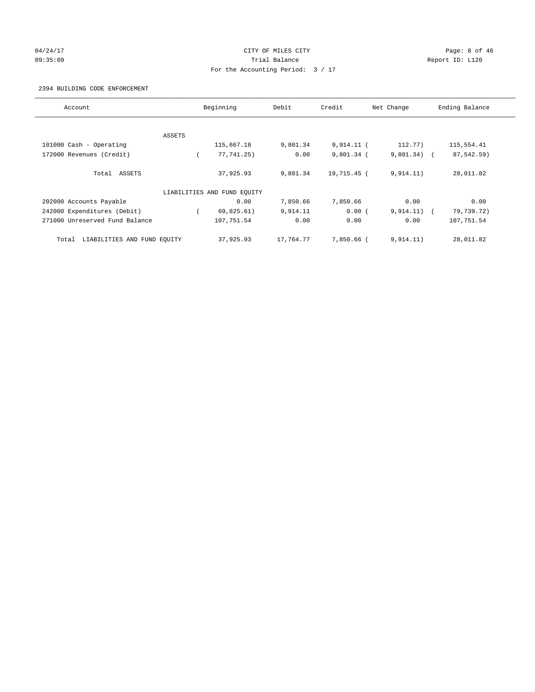## 04/24/17 Page: 8 of 46 09:35:09 Report ID: L120 For the Accounting Period: 3 / 17

#### 2394 BUILDING CODE ENFORCEMENT

| Account                              |        | Beginning                   | Debit     | Credit       | Net Change    | Ending Balance |
|--------------------------------------|--------|-----------------------------|-----------|--------------|---------------|----------------|
|                                      |        |                             |           |              |               |                |
|                                      | ASSETS |                             |           |              |               |                |
| 101000 Cash - Operating              |        | 115,667.18                  | 9,801.34  | 9,914.11 (   | 112.77)       | 115,554.41     |
| 172000 Revenues (Credit)             |        | 77,741.25)                  | 0.00      | $9,801.34$ ( | $9,801.34)$ ( | 87,542.59)     |
| Total ASSETS                         |        | 37,925.93                   | 9,801.34  | 19,715.45 (  | 9,914.11)     | 28,011.82      |
|                                      |        | LIABILITIES AND FUND EQUITY |           |              |               |                |
| 202000 Accounts Payable              |        | 0.00                        | 7,850.66  | 7,850.66     | 0.00          | 0.00           |
| 242000 Expenditures (Debit)          |        | 69,825.61)                  | 9,914.11  | 0.00(        | $9,914.11)$ ( | 79,739.72)     |
| 271000 Unreserved Fund Balance       |        | 107,751.54                  | 0.00      | 0.00         | 0.00          | 107,751.54     |
| LIABILITIES AND FUND EQUITY<br>Total |        | 37,925.93                   | 17,764.77 | 7,850.66 (   | 9.914.11)     | 28,011.82      |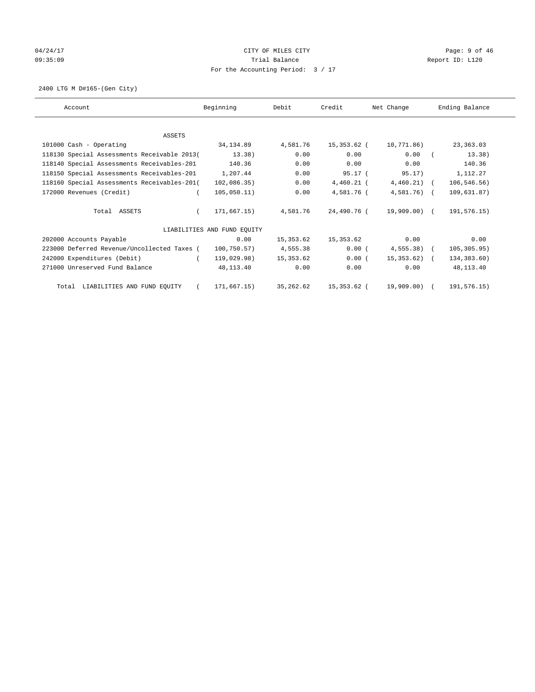# 04/24/17 Page: 9 of 46 09:35:09 Report ID: L120 For the Accounting Period: 3 / 17

2400 LTG M D#165-(Gen City)

| Account                                     | Beginning                   | Debit      | Credit       | Net Change    | Ending Balance |
|---------------------------------------------|-----------------------------|------------|--------------|---------------|----------------|
|                                             |                             |            |              |               |                |
| <b>ASSETS</b>                               |                             |            |              |               |                |
| 101000 Cash - Operating                     | 34,134.89                   | 4,581.76   | 15,353.62 (  | 10,771.86)    | 23,363.03      |
| 118130 Special Assessments Receivable 2013( | 13.38)                      | 0.00       | 0.00         | 0.00          | 13.38)         |
| 118140 Special Assessments Receivables-201  | 140.36                      | 0.00       | 0.00         | 0.00          | 140.36         |
| 118150 Special Assessments Receivables-201  | 1,207.44                    | 0.00       | $95.17$ (    | 95.17)        | 1,112.27       |
| 118160 Special Assessments Receivables-201( | 102,086.35)                 | 0.00       | $4,460.21$ ( | $4,460.21$ (  | 106, 546.56)   |
| 172000 Revenues (Credit)                    | 105,050.11)                 | 0.00       | 4,581.76 (   | $4,581.76$ (  | 109,631.87)    |
| Total ASSETS                                | 171,667.15)                 | 4,581.76   | 24,490.76 (  | 19,909.00) (  | 191,576.15)    |
|                                             | LIABILITIES AND FUND EQUITY |            |              |               |                |
| 202000 Accounts Payable                     | 0.00                        | 15,353.62  | 15,353.62    | 0.00          | 0.00           |
| 223000 Deferred Revenue/Uncollected Taxes ( | 100, 750.57)                | 4,555.38   | 0.00(        | $4,555.38$ (  | 105, 305.95)   |
| 242000 Expenditures (Debit)                 | 119,029.98)                 | 15,353.62  | 0.00(        | $15,353.62$ ( | 134,383.60)    |
| 271000 Unreserved Fund Balance              | 48,113.40                   | 0.00       | 0.00         | 0.00          | 48,113.40      |
| Total LIABILITIES AND FUND EQUITY           | 171,667.15)                 | 35, 262.62 | 15,353.62 (  | 19,909.00)    | 191,576.15)    |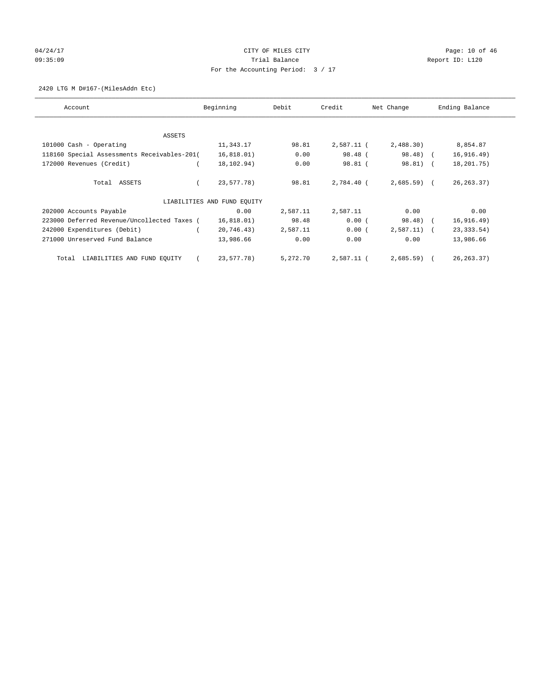# 04/24/17 Page: 10 of 46 and 24/24/17 CITY OF MILES CITY 09:35:09 Report ID: L120 For the Accounting Period: 3 / 17

2420 LTG M D#167-(MilesAddn Etc)

| Account                                     | Beginning                   | Debit    | Credit     | Net Change    | Ending Balance |
|---------------------------------------------|-----------------------------|----------|------------|---------------|----------------|
| ASSETS                                      |                             |          |            |               |                |
| 101000 Cash - Operating                     | 11,343.17                   | 98.81    | 2,587.11 ( | 2,488.30)     | 8,854.87       |
| 118160 Special Assessments Receivables-201( | 16,818.01)                  | 0.00     | 98.48 (    | 98.48) (      | 16, 916.49)    |
| 172000 Revenues (Credit)                    | 18,102.94)                  | 0.00     | 98.81 (    | 98.81) (      | 18,201.75)     |
| Total ASSETS                                | 23,577.78)                  | 98.81    | 2,784.40 ( | $2,685.59$ (  | 26, 263. 37)   |
|                                             | LIABILITIES AND FUND EQUITY |          |            |               |                |
| 202000 Accounts Payable                     | 0.00                        | 2,587.11 | 2,587.11   | 0.00          | 0.00           |
| 223000 Deferred Revenue/Uncollected Taxes ( | 16,818.01)                  | 98.48    | 0.00(      | 98.48) (      | 16, 916.49)    |
| 242000 Expenditures (Debit)                 | 20,746.43)                  | 2,587.11 | 0.00(      | $2,587.11)$ ( | 23, 333.54)    |
| 271000 Unreserved Fund Balance              | 13,986.66                   | 0.00     | 0.00       | 0.00          | 13,986.66      |
| LIABILITIES AND FUND EQUITY<br>Total        | 23,577.78)                  | 5,272.70 | 2,587.11 ( | $2,685.59$ (  | 26, 263. 37)   |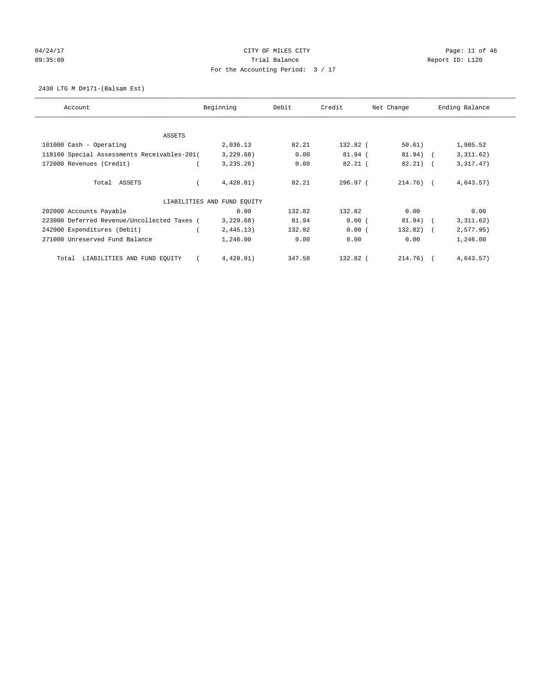# 04/24/17 Page: 11 of 46 Page: 11 of 46 09:35:09 Report ID: L120 For the Accounting Period: 3 / 17

2430 LTG M D#171-(Balsam Est)

| Account                                     | Beginning                   | Debit  | Credit    | Net Change   | Ending Balance |
|---------------------------------------------|-----------------------------|--------|-----------|--------------|----------------|
| ASSETS                                      |                             |        |           |              |                |
| 101000 Cash - Operating                     | 2,036.13                    | 82.21  | 132.82 (  | 50.61)       | 1,985.52       |
| 118160 Special Assessments Receivables-201( | 3,229.68)                   | 0.00   | 81.94 (   | 81.94) (     | 3,311.62)      |
| 172000 Revenues (Credit)                    | 3, 235, 26)                 | 0.00   | $82.21$ ( | $82.21$ ) (  | 3,317.47)      |
| Total ASSETS                                | 4,428.81)                   | 82.21  | 296.97(   | $214.76$ ) ( | 4,643.57)      |
|                                             | LIABILITIES AND FUND EQUITY |        |           |              |                |
| 202000 Accounts Payable                     | 0.00                        | 132.82 | 132.82    | 0.00         | 0.00           |
| 223000 Deferred Revenue/Uncollected Taxes ( | 3,229.68)                   | 81.94  | 0.00(     | 81.94) (     | 3,311.62)      |
| 242000 Expenditures (Debit)                 | 2,445.13)                   | 132.82 | 0.00(     | $132.82)$ (  | 2, 577.95)     |
| 271000 Unreserved Fund Balance              | 1,246.00                    | 0.00   | 0.00      | 0.00         | 1,246.00       |
| LIABILITIES AND FUND EQUITY<br>Total        | 4,428.81)                   | 347.58 | 132.82 (  | $214.76$ ) ( | 4,643.57)      |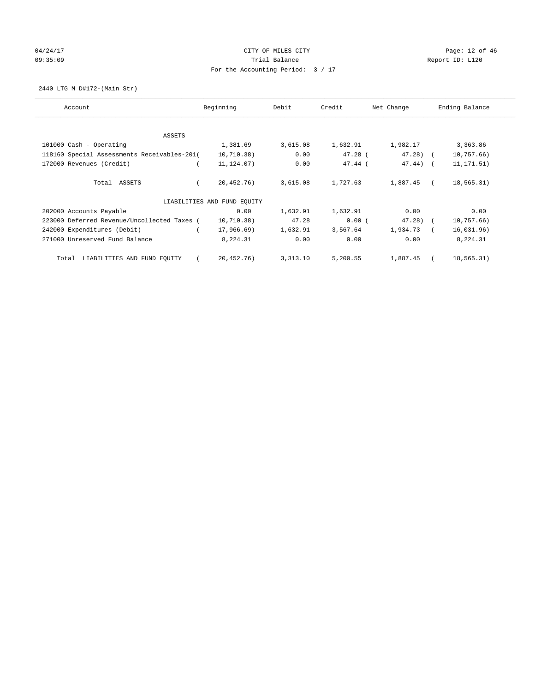# 04/24/17 Page: 12 of 46 09:35:09 Report ID: L120 For the Accounting Period: 3 / 17

2440 LTG M D#172-(Main Str)

| Account                                     | Beginning                   | Debit     | Credit    | Net Change  | Ending Balance |
|---------------------------------------------|-----------------------------|-----------|-----------|-------------|----------------|
| ASSETS                                      |                             |           |           |             |                |
| 101000 Cash - Operating                     | 1,381.69                    | 3,615.08  | 1,632.91  | 1,982.17    | 3,363.86       |
| 118160 Special Assessments Receivables-201( | 10,710.38)                  | 0.00      | $47.28$ ( | $47.28$ ) ( | 10,757.66)     |
| 172000 Revenues (Credit)                    | 11, 124.07)                 | 0.00      | $47.44$ ( | $47.44$ ) ( | 11, 171.51)    |
| Total ASSETS                                | 20,452.76)                  | 3,615.08  | 1,727.63  | 1,887.45    | 18,565.31)     |
|                                             | LIABILITIES AND FUND EQUITY |           |           |             |                |
| 202000 Accounts Payable                     | 0.00                        | 1,632.91  | 1,632.91  | 0.00        | 0.00           |
| 223000 Deferred Revenue/Uncollected Taxes ( | 10,710.38)                  | 47.28     | 0.00(     | $47.28$ (   | 10,757.66)     |
| 242000 Expenditures (Debit)                 | 17,966.69)                  | 1,632.91  | 3,567.64  | 1,934.73    | 16,031.96)     |
| 271000 Unreserved Fund Balance              | 8,224.31                    | 0.00      | 0.00      | 0.00        | 8,224.31       |
| LIABILITIES AND FUND EQUITY<br>Total        | 20,452.76)                  | 3, 313.10 | 5,200.55  | 1,887.45    | 18,565.31)     |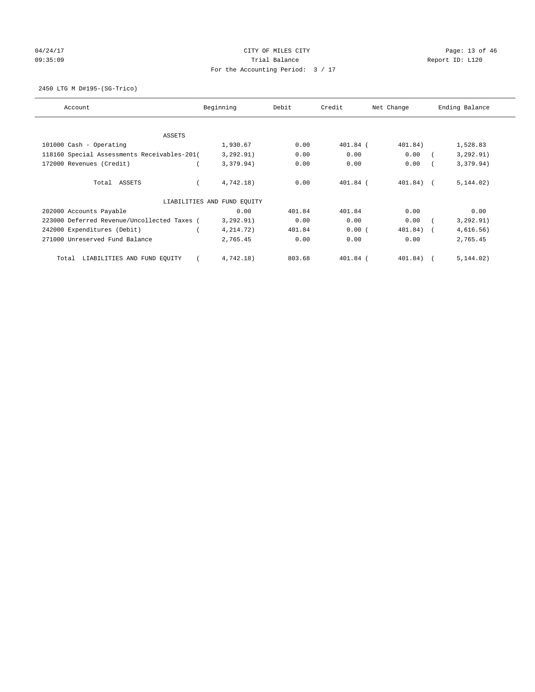# 04/24/17 Page: 13 of 46 09:35:09 Report ID: L120 For the Accounting Period: 3 / 17

2450 LTG M D#195-(SG-Trico)

| Account                                     | Beginning                   | Debit  | Credit     | Net Change  | Ending Balance |
|---------------------------------------------|-----------------------------|--------|------------|-------------|----------------|
| ASSETS                                      |                             |        |            |             |                |
| 101000 Cash - Operating                     | 1,930.67                    | 0.00   | 401.84 (   | 401.84)     | 1,528.83       |
| 118160 Special Assessments Receivables-201( | 3, 292.91)                  | 0.00   | 0.00       | 0.00        | 3, 292.91)     |
| 172000 Revenues (Credit)                    | 3,379.94)                   | 0.00   | 0.00       | 0.00        | 3,379.94)      |
| Total ASSETS                                | 4,742.18)                   | 0.00   | $401.84$ ( | $401.84)$ ( | 5, 144.02)     |
|                                             | LIABILITIES AND FUND EQUITY |        |            |             |                |
| 202000 Accounts Payable                     | 0.00                        | 401.84 | 401.84     | 0.00        | 0.00           |
| 223000 Deferred Revenue/Uncollected Taxes ( | 3, 292.91)                  | 0.00   | 0.00       | 0.00        | 3, 292.91)     |
| 242000 Expenditures (Debit)                 | 4, 214. 72)                 | 401.84 | 0.00(      | $401.84)$ ( | 4,616.56)      |
| 271000 Unreserved Fund Balance              | 2,765.45                    | 0.00   | 0.00       | 0.00        | 2,765.45       |
| LIABILITIES AND FUND EQUITY<br>Total        | 4,742.18)                   | 803.68 | 401.84 (   | 401.84)     | 5, 144.02)     |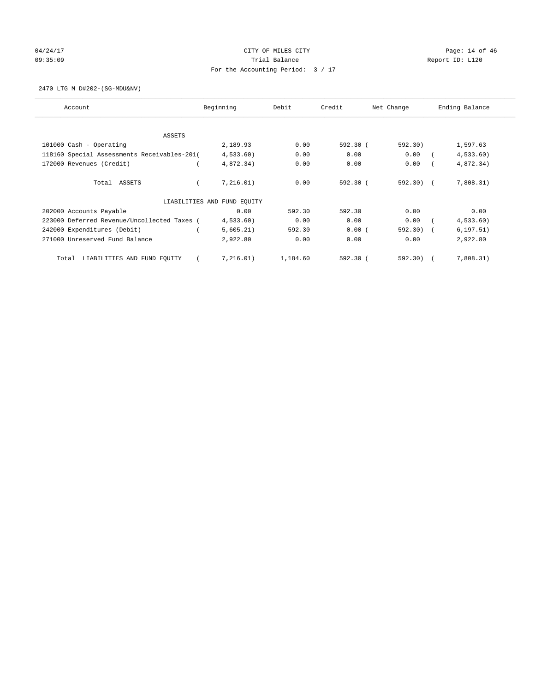# 04/24/17 Page: 14 of 46 Page: 14 of 46 Page: 14 of 46 Page: 14 of 46 Page: 14 of 46 09:35:09 Report ID: L120 For the Accounting Period: 3 / 17

2470 LTG M D#202-(SG-MDU&NV)

| Account                                     | Beginning                   | Debit    | Credit     | Net Change | Ending Balance |
|---------------------------------------------|-----------------------------|----------|------------|------------|----------------|
| ASSETS                                      |                             |          |            |            |                |
| 101000 Cash - Operating                     | 2,189.93                    | 0.00     | 592.30(    | 592.30)    | 1,597.63       |
| 118160 Special Assessments Receivables-201( | 4,533.60)                   | 0.00     | 0.00       | 0.00       | 4,533.60       |
| 172000 Revenues (Credit)                    | 4,872.34)                   | 0.00     | 0.00       | 0.00       | 4,872.34)      |
| Total ASSETS                                | 7,216.01)                   | 0.00     | $592.30$ ( | 592.30) (  | 7,808.31)      |
|                                             | LIABILITIES AND FUND EQUITY |          |            |            |                |
| 202000 Accounts Payable                     | 0.00                        | 592.30   | 592.30     | 0.00       | 0.00           |
| 223000 Deferred Revenue/Uncollected Taxes ( | 4,533.60)                   | 0.00     | 0.00       | 0.00       | 4,533.60)      |
| 242000 Expenditures (Debit)                 | 5,605.21)                   | 592.30   | 0.00(      | 592.30)    | 6, 197.51)     |
| 271000 Unreserved Fund Balance              | 2,922.80                    | 0.00     | 0.00       | 0.00       | 2,922.80       |
| LIABILITIES AND FUND EQUITY<br>Total        | 7,216.01)                   | 1,184.60 | $592.30$ ( | 592.30)    | 7,808.31)      |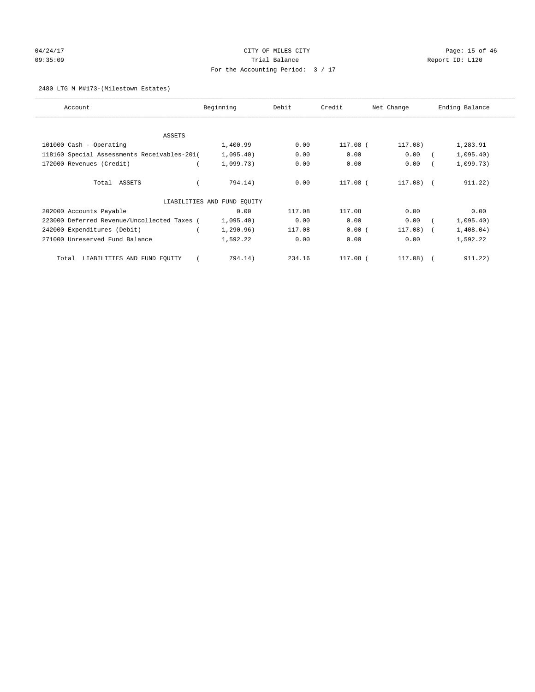# 04/24/17 Page: 15 of 46 Page: 15 of 46 Page: 15 of 46 09:35:09 Report ID: L120 For the Accounting Period: 3 / 17

#### 2480 LTG M M#173-(Milestown Estates)

| Account                                     | Beginning                   | Debit  | Credit     | Net Change | Ending Balance          |
|---------------------------------------------|-----------------------------|--------|------------|------------|-------------------------|
| ASSETS                                      |                             |        |            |            |                         |
| 101000 Cash - Operating                     | 1,400.99                    | 0.00   | $117.08$ ( | 117.08)    | 1,283.91                |
| 118160 Special Assessments Receivables-201( | 1,095.40)                   | 0.00   | 0.00       | 0.00       | 1,095.40)               |
| 172000 Revenues (Credit)                    | 1,099.73)                   | 0.00   | 0.00       | 0.00       | 1,099.73)               |
| Total ASSETS                                | 794.14)                     | 0.00   | 117.08 (   | $117.08$ ( | 911.22)                 |
|                                             | LIABILITIES AND FUND EQUITY |        |            |            |                         |
| 202000 Accounts Payable                     | 0.00                        | 117.08 | 117.08     | 0.00       | 0.00                    |
| 223000 Deferred Revenue/Uncollected Taxes ( | 1,095.40)                   | 0.00   | 0.00       | 0.00       | 1,095.40)               |
| 242000 Expenditures (Debit)                 | 1, 290.96)                  | 117.08 | 0.00(      | 117.08)    | 1,408.04)<br>$\sqrt{2}$ |
| 271000 Unreserved Fund Balance              | 1,592.22                    | 0.00   | 0.00       | 0.00       | 1,592.22                |
| LIABILITIES AND FUND EQUITY<br>Total        | 794.14)                     | 234.16 | 117.08 (   | 117.08)    | 911.22)<br>$\sqrt{2}$   |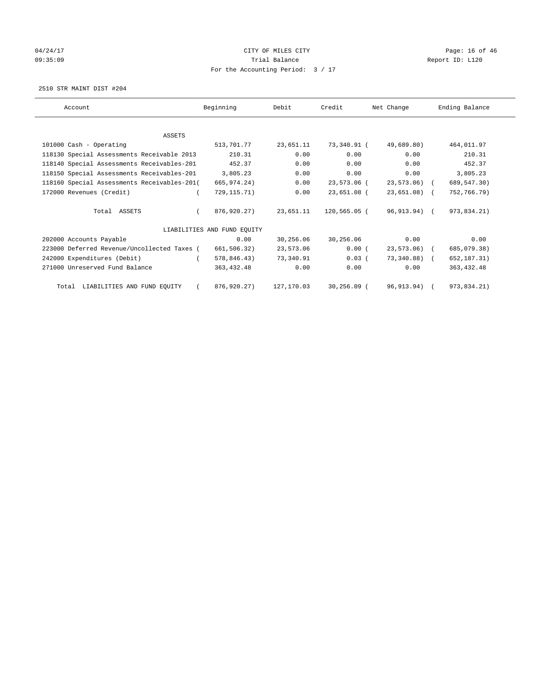# 04/24/17 Page: 16 of 46 Page: 16 of 46 Page: 16 of 46 Page: 16 of 46 Page: 16 Of 46 Page: 16 Of 46 Page: 16 Of 46 09:35:09 Report ID: L120 For the Accounting Period: 3 / 17

2510 STR MAINT DIST #204

| Account                                     | Beginning                   | Debit      | Credit        | Net Change    | Ending Balance |
|---------------------------------------------|-----------------------------|------------|---------------|---------------|----------------|
|                                             |                             |            |               |               |                |
| <b>ASSETS</b>                               |                             |            |               |               |                |
| 101000 Cash - Operating                     | 513,701.77                  | 23,651.11  | 73,340.91 (   | 49,689.80)    | 464,011.97     |
| 118130 Special Assessments Receivable 2013  | 210.31                      | 0.00       | 0.00          | 0.00          | 210.31         |
| 118140 Special Assessments Receivables-201  | 452.37                      | 0.00       | 0.00          | 0.00          | 452.37         |
| 118150 Special Assessments Receivables-201  | 3,805.23                    | 0.00       | 0.00          | 0.00          | 3,805.23       |
| 118160 Special Assessments Receivables-201( | 665,974.24)                 | 0.00       | 23,573.06 (   | 23,573.06) (  | 689, 547.30)   |
| 172000 Revenues (Credit)                    | 729, 115. 71)               | 0.00       | 23,651.08 (   | $23,651.08$ ( | 752,766.79)    |
| Total ASSETS                                | 876,920.27)                 | 23,651.11  | 120,565.05 (  | 96,913.94) (  | 973,834.21)    |
|                                             | LIABILITIES AND FUND EQUITY |            |               |               |                |
| 202000 Accounts Payable                     | 0.00                        | 30,256.06  | 30,256.06     | 0.00          | 0.00           |
| 223000 Deferred Revenue/Uncollected Taxes ( | 661,506.32)                 | 23,573.06  | 0.00(         | 23,573.06) (  | 685,079.38)    |
| 242000 Expenditures (Debit)                 | 578,846.43)                 | 73,340.91  | $0.03$ (      | 73,340.88) (  | 652, 187. 31)  |
| 271000 Unreserved Fund Balance              | 363,432.48                  | 0.00       | 0.00          | 0.00          | 363, 432.48    |
| Total LIABILITIES AND FUND EQUITY           | 876,920.27)                 | 127,170.03 | $30.256.09$ ( | 96,913.94)    | 973,834.21)    |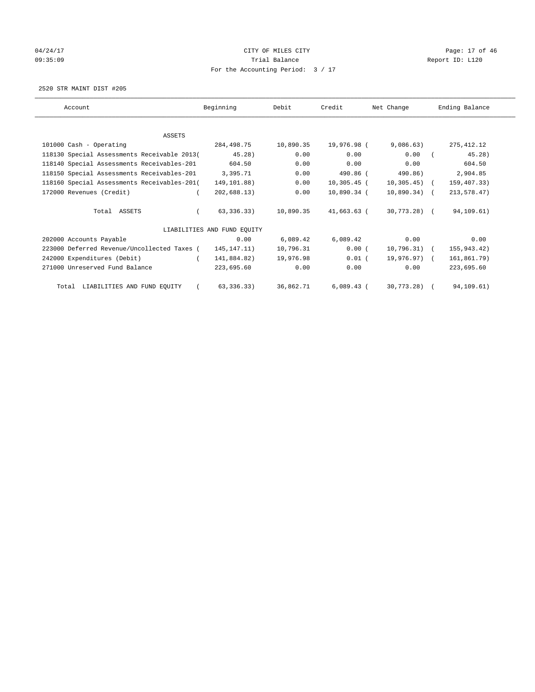## 04/24/17 Page: 17 of 46 and 24/24/17 Page: 17 of 46 09:35:09 Report ID: L120 For the Accounting Period: 3 / 17

2520 STR MAINT DIST #205

| Account                                     | Beginning                   | Debit     | Credit        | Net Change     | Ending Balance |
|---------------------------------------------|-----------------------------|-----------|---------------|----------------|----------------|
|                                             |                             |           |               |                |                |
| ASSETS                                      |                             |           |               |                |                |
| 101000 Cash - Operating                     | 284,498.75                  | 10,890.35 | 19,976.98 (   | 9,086.63)      | 275, 412.12    |
| 118130 Special Assessments Receivable 2013( | 45.28)                      | 0.00      | 0.00          | 0.00           | 45.28)         |
| 118140 Special Assessments Receivables-201  | 604.50                      | 0.00      | 0.00          | 0.00           | 604.50         |
| 118150 Special Assessments Receivables-201  | 3,395.71                    | 0.00      | 490.86 (      | 490.86)        | 2,904.85       |
| 118160 Special Assessments Receivables-201( | 149,101.88)                 | 0.00      | $10,305.45$ ( | $10,305.45$ (  | 159,407.33)    |
| 172000 Revenues (Credit)                    | 202,688.13)                 | 0.00      | 10,890.34 (   | $10,890.34)$ ( | 213,578.47)    |
| Total ASSETS                                | 63, 336, 33)                | 10,890.35 | 41,663.63 (   | 30,773.28) (   | 94,109.61)     |
|                                             | LIABILITIES AND FUND EOUITY |           |               |                |                |
| 202000 Accounts Payable                     | 0.00                        | 6,089.42  | 6,089.42      | 0.00           | 0.00           |
| 223000 Deferred Revenue/Uncollected Taxes ( | 145, 147. 11)               | 10,796.31 | 0.00(         | $10,796.31$ (  | 155,943.42)    |
| 242000 Expenditures (Debit)                 | 141,884.82)                 | 19,976.98 | $0.01$ (      | 19,976.97) (   | 161,861.79)    |
| 271000 Unreserved Fund Balance              | 223,695.60                  | 0.00      | 0.00          | 0.00           | 223,695.60     |
| Total LIABILITIES AND FUND EQUITY           | 63, 336.33)                 | 36,862.71 | $6,089.43$ (  | 30,773.28)     | 94,109.61)     |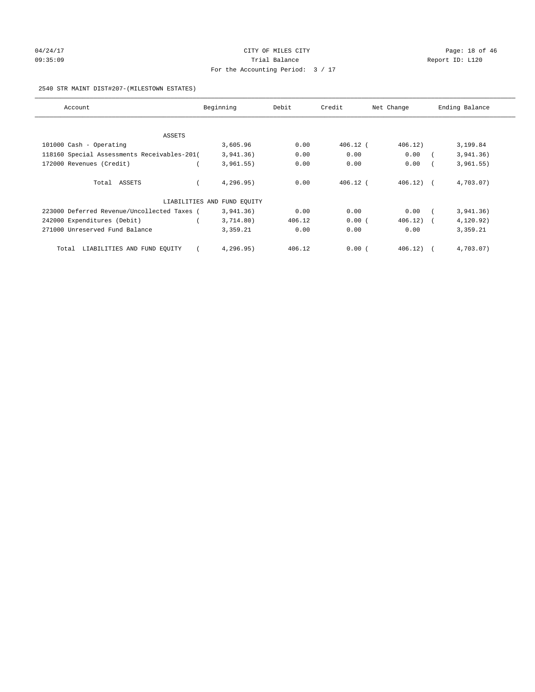# 04/24/17 Page: 18 of 46 and 24/24/17 Page: 18 of 46 09:35:09 Report ID: L120 For the Accounting Period: 3 / 17

#### 2540 STR MAINT DIST#207-(MILESTOWN ESTATES)

| Account                                     | Beginning                   | Debit  | Credit     | Net Change | Ending Balance |
|---------------------------------------------|-----------------------------|--------|------------|------------|----------------|
|                                             |                             |        |            |            |                |
| ASSETS                                      |                             |        |            |            |                |
| 101000 Cash - Operating                     | 3,605.96                    | 0.00   | $406.12$ ( | 406.12)    | 3,199.84       |
| 118160 Special Assessments Receivables-201( | 3,941.36)                   | 0.00   | 0.00       | 0.00       | 3,941,36)      |
| 172000 Revenues (Credit)                    | 3,961.55)                   | 0.00   | 0.00       | 0.00       | 3,961.55)      |
| Total ASSETS                                | 4,296.95)                   | 0.00   | $406.12$ ( | 406.12     | 4,703.07)      |
|                                             | LIABILITIES AND FUND EQUITY |        |            |            |                |
| 223000 Deferred Revenue/Uncollected Taxes ( | 3,941.36)                   | 0.00   | 0.00       | 0.00       | 3,941.36)      |
| 242000 Expenditures (Debit)                 | 3,714.80)                   | 406.12 | 0.00(      | 406.12     | 4,120.92)      |
| 271000 Unreserved Fund Balance              | 3,359.21                    | 0.00   | 0.00       | 0.00       | 3,359.21       |
| LIABILITIES AND FUND EQUITY<br>Total        | 4,296.95)                   | 406.12 | 0.00(      | 406.12)    | 4,703.07)      |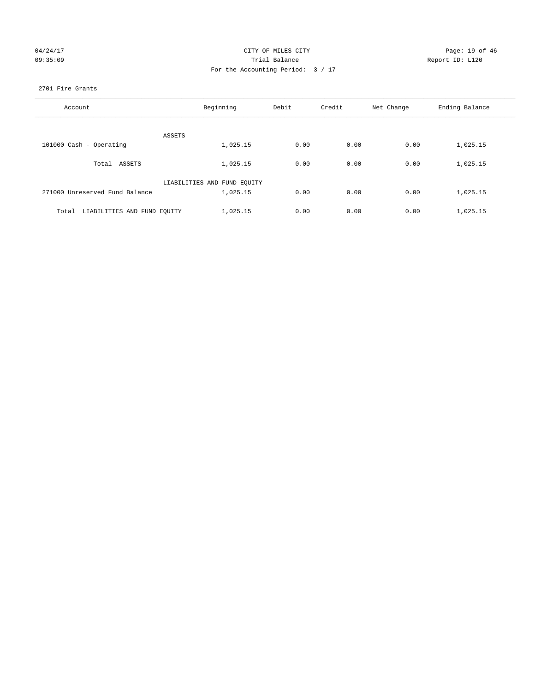| 04/24/17 |  |
|----------|--|
| 09:35:09 |  |

## CITY OF MILES CITY Page: 19 of 46<br>Trial Balance Report ID: L120 09:35:09 Report ID: L120 For the Accounting Period: 3 / 17

#### 2701 Fire Grants

| Account                              | Beginning                   | Debit | Credit | Net Change | Ending Balance |
|--------------------------------------|-----------------------------|-------|--------|------------|----------------|
|                                      |                             |       |        |            |                |
|                                      | ASSETS                      |       |        |            |                |
| 101000 Cash - Operating              | 1,025.15                    | 0.00  | 0.00   | 0.00       | 1,025.15       |
| Total ASSETS                         | 1,025.15                    | 0.00  | 0.00   | 0.00       | 1,025.15       |
|                                      | LIABILITIES AND FUND EQUITY |       |        |            |                |
| 271000 Unreserved Fund Balance       | 1,025.15                    | 0.00  | 0.00   | 0.00       | 1,025.15       |
|                                      |                             |       |        |            |                |
| LIABILITIES AND FUND EQUITY<br>Total | 1,025.15                    | 0.00  | 0.00   | 0.00       | 1,025.15       |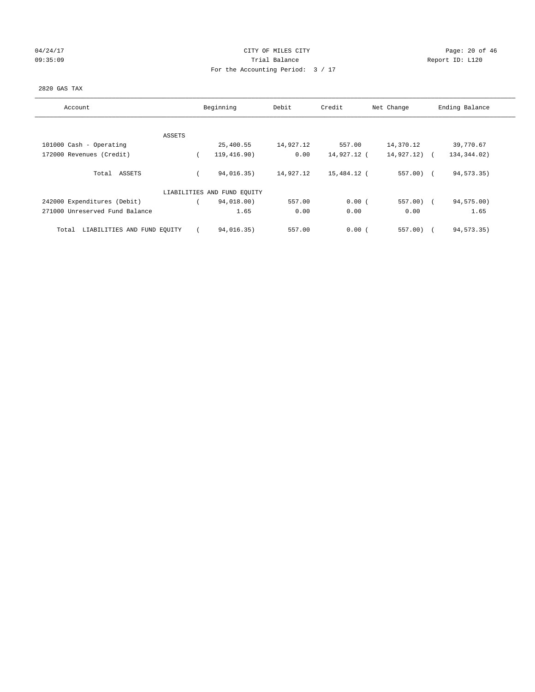## 04/24/17 Page: 20 of 46 09:35:09 Report ID: L120 For the Accounting Period: 3 / 17

#### 2820 GAS TAX

| Account                              |        | Beginning                   | Debit     | Credit      | Net Change | Ending Balance |
|--------------------------------------|--------|-----------------------------|-----------|-------------|------------|----------------|
|                                      |        |                             |           |             |            |                |
|                                      | ASSETS |                             |           |             |            |                |
| 101000 Cash - Operating              |        | 25,400.55                   | 14,927.12 | 557.00      | 14,370.12  | 39,770.67      |
| 172000 Revenues (Credit)             |        | 119,416.90)                 | 0.00      | 14,927.12 ( | 14,927.12) | 134, 344.02)   |
| Total ASSETS                         |        | 94,016.35)                  | 14,927.12 | 15,484.12 ( | $557.00$ ( | 94, 573. 35)   |
|                                      |        | LIABILITIES AND FUND EQUITY |           |             |            |                |
| 242000 Expenditures (Debit)          |        | 94,018.00)                  | 557.00    | 0.00(       | $557.00$ ( | 94,575.00)     |
| 271000 Unreserved Fund Balance       |        | 1.65                        | 0.00      | 0.00        | 0.00       | 1.65           |
| LIABILITIES AND FUND EQUITY<br>Total |        | 94,016.35)                  | 557.00    | 0.00(       | $557.00$ ) | 94, 573. 35)   |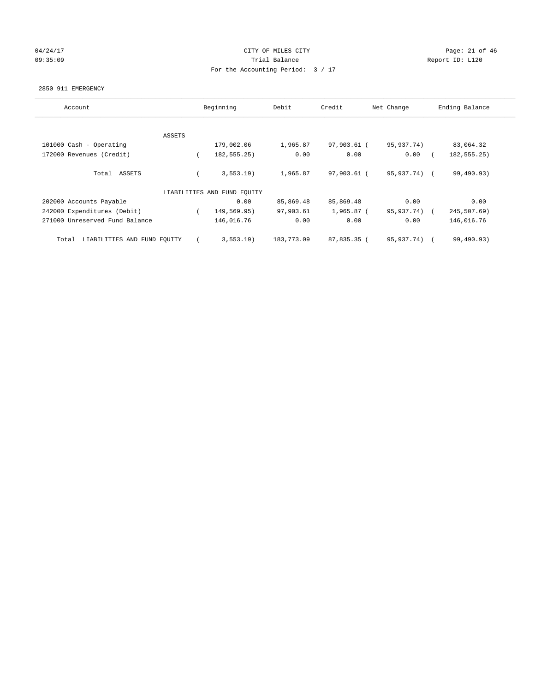## 04/24/17 Page: 21 of 46 Page: 21 of 46 09:35:09 Report ID: L120 For the Accounting Period: 3 / 17

#### 2850 911 EMERGENCY

| Account                              |        | Beginning                   | Debit      | Credit      | Net Change   | Ending Balance |
|--------------------------------------|--------|-----------------------------|------------|-------------|--------------|----------------|
|                                      |        |                             |            |             |              |                |
|                                      | ASSETS |                             |            |             |              |                |
| 101000 Cash - Operating              |        | 179,002.06                  | 1,965.87   | 97,903.61 ( | 95,937.74)   | 83,064.32      |
| 172000 Revenues (Credit)             |        | 182, 555. 25)               | 0.00       | 0.00        | 0.00         | 182, 555. 25)  |
| Total ASSETS                         |        | 3, 553.19                   | 1,965.87   | 97,903.61 ( | 95,937.74) ( | 99,490.93)     |
|                                      |        | LIABILITIES AND FUND EQUITY |            |             |              |                |
| 202000 Accounts Payable              |        | 0.00                        | 85,869.48  | 85,869.48   | 0.00         | 0.00           |
| 242000 Expenditures (Debit)          |        | 149,569.95)                 | 97,903.61  | 1,965.87 (  | 95,937.74)   | 245,507.69)    |
| 271000 Unreserved Fund Balance       |        | 146,016.76                  | 0.00       | 0.00        | 0.00         | 146,016.76     |
| LIABILITIES AND FUND EQUITY<br>Total |        | 3, 553.19                   | 183,773.09 | 87,835.35 ( | 95, 937, 74) | 99,490.93)     |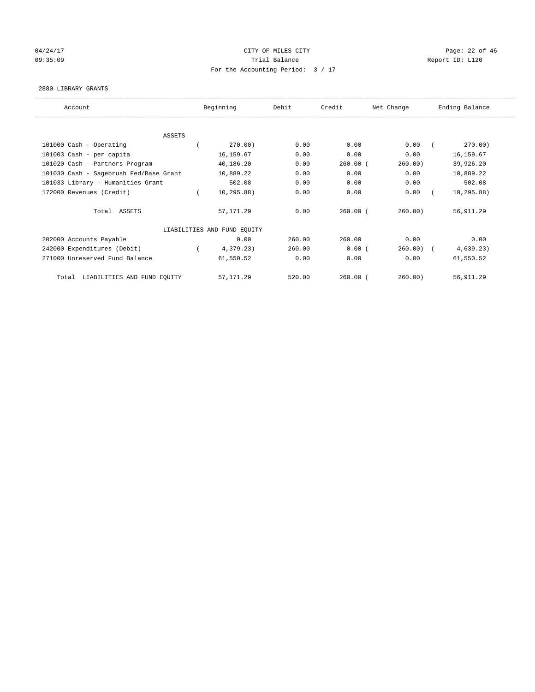## 04/24/17 Page: 22 of 46 09:35:09 Report ID: L120 For the Accounting Period: 3 / 17

#### 2880 LIBRARY GRANTS

| Account                                | Beginning                   | Debit  | Credit     | Net Change | Ending Balance |
|----------------------------------------|-----------------------------|--------|------------|------------|----------------|
|                                        |                             |        |            |            |                |
| ASSETS                                 |                             |        |            |            |                |
| 101000 Cash - Operating                | 270.00)                     | 0.00   | 0.00       | 0.00       | 270.00)        |
| 101003 Cash - per capita               | 16,159.67                   | 0.00   | 0.00       | 0.00       | 16, 159.67     |
| 101020 Cash - Partners Program         | 40,186.20                   | 0.00   | $260.00$ ( | 260.00)    | 39,926.20      |
| 101030 Cash - Sagebrush Fed/Base Grant | 10,889.22                   | 0.00   | 0.00       | 0.00       | 10,889.22      |
| 101033 Library - Humanities Grant      | 502.08                      | 0.00   | 0.00       | 0.00       | 502.08         |
| 172000 Revenues (Credit)               | 10, 295.88)                 | 0.00   | 0.00       | 0.00       | 10, 295.88)    |
| Total ASSETS                           | 57, 171.29                  | 0.00   | $260.00$ ( | 260.00)    | 56,911.29      |
|                                        | LIABILITIES AND FUND EQUITY |        |            |            |                |
| 202000 Accounts Payable                | 0.00                        | 260.00 | 260.00     | 0.00       | 0.00           |
| 242000 Expenditures (Debit)            | 4,379.23)                   | 260.00 | 0.00(      | 260.00)    | 4,639.23)      |
| 271000 Unreserved Fund Balance         | 61,550.52                   | 0.00   | 0.00       | 0.00       | 61,550.52      |
| LIABILITIES AND FUND EQUITY<br>Total   | 57, 171.29                  | 520.00 | $260.00$ ( | 260.00)    | 56,911.29      |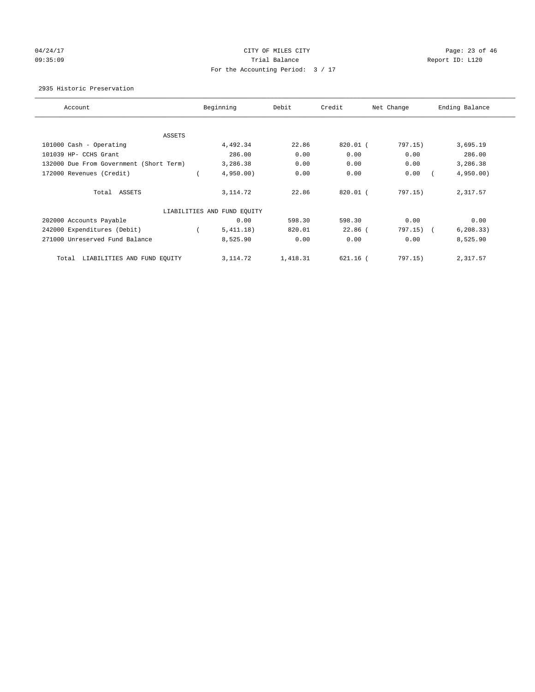# 04/24/17 Page: 23 of 46 09:35:09 Report ID: L120 For the Accounting Period: 3 / 17

2935 Historic Preservation

| Account                                 | Beginning                   | Debit    | Credit     | Net Change | Ending Balance |
|-----------------------------------------|-----------------------------|----------|------------|------------|----------------|
| ASSETS                                  |                             |          |            |            |                |
| 101000 Cash - Operating                 | 4,492.34                    | 22.86    | $820.01$ ( | 797.15)    | 3,695.19       |
| 101039 HP- CCHS Grant                   | 286.00                      | 0.00     | 0.00       | 0.00       | 286.00         |
| 132000 Due From Government (Short Term) | 3,286.38                    | 0.00     | 0.00       | 0.00       | 3,286.38       |
| 172000 Revenues (Credit)                | 4,950.00                    | 0.00     | 0.00       | 0.00       | 4,950.00)      |
| Total ASSETS                            | 3, 114.72                   | 22.86    | 820.01 (   | 797.15)    | 2,317.57       |
|                                         | LIABILITIES AND FUND EQUITY |          |            |            |                |
| 202000 Accounts Payable                 | 0.00                        | 598.30   | 598.30     | 0.00       | 0.00           |
| 242000 Expenditures (Debit)             | 5,411.18)                   | 820.01   | $22.86$ (  | 797.15) (  | 6, 208.33)     |
| 271000 Unreserved Fund Balance          | 8,525.90                    | 0.00     | 0.00       | 0.00       | 8,525.90       |
| LIABILITIES AND FUND EQUITY<br>Total    | 3, 114.72                   | 1,418.31 | $621.16$ ( | 797.15)    | 2,317.57       |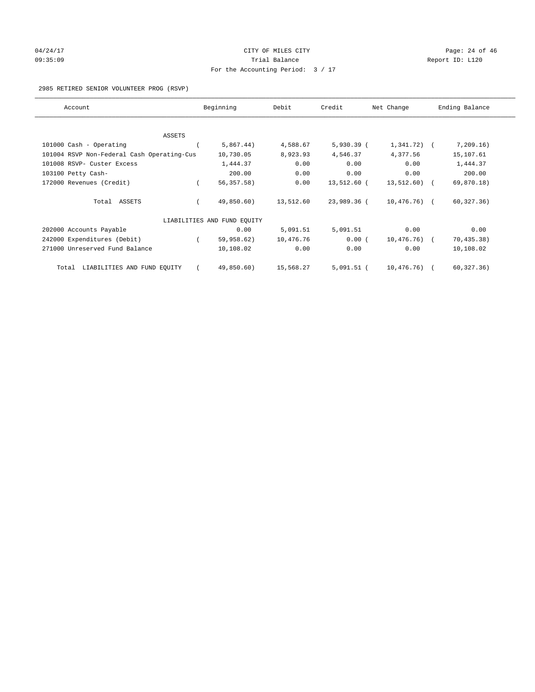# 04/24/17 Page: 24 of 46 09:35:09 Report ID: L120 For the Accounting Period: 3 / 17

#### 2985 RETIRED SENIOR VOLUNTEER PROG (RSVP)

| Account                                    | Beginning                   | Debit     | Credit       | Net Change     | Ending Balance |
|--------------------------------------------|-----------------------------|-----------|--------------|----------------|----------------|
|                                            |                             |           |              |                |                |
| ASSETS                                     |                             |           |              |                |                |
| 101000 Cash - Operating                    | 5,867.44)                   | 4,588.67  | $5,930.39$ ( | $1,341.72$ (   | 7,209.16)      |
| 101004 RSVP Non-Federal Cash Operating-Cus | 10,730.05                   | 8,923.93  | 4,546.37     | 4,377.56       | 15,107.61      |
| 101008 RSVP- Custer Excess                 | 1,444.37                    | 0.00      | 0.00         | 0.00           | 1,444.37       |
| 103100 Petty Cash-                         | 200.00                      | 0.00      | 0.00         | 0.00           | 200.00         |
| 172000 Revenues (Credit)                   | 56, 357.58)                 | 0.00      | 13,512.60 (  | $13,512.60$ (  | 69,870.18)     |
| Total ASSETS                               | 49,850.60)                  | 13,512.60 | 23,989.36 (  | $10,476.76)$ ( | 60, 327.36)    |
|                                            | LIABILITIES AND FUND EQUITY |           |              |                |                |
| 202000 Accounts Payable                    | 0.00                        | 5,091.51  | 5,091.51     | 0.00           | 0.00           |
| 242000 Expenditures (Debit)                | 59,958.62)                  | 10,476.76 | 0.00(        | $10,476.76)$ ( | 70, 435.38)    |
| 271000 Unreserved Fund Balance             | 10,108.02                   | 0.00      | 0.00         | 0.00           | 10,108.02      |
| LIABILITIES AND FUND EQUITY<br>Total       | 49,850.60)                  | 15,568.27 | $5,091.51$ ( | 10,476.76)     | 60, 327.36)    |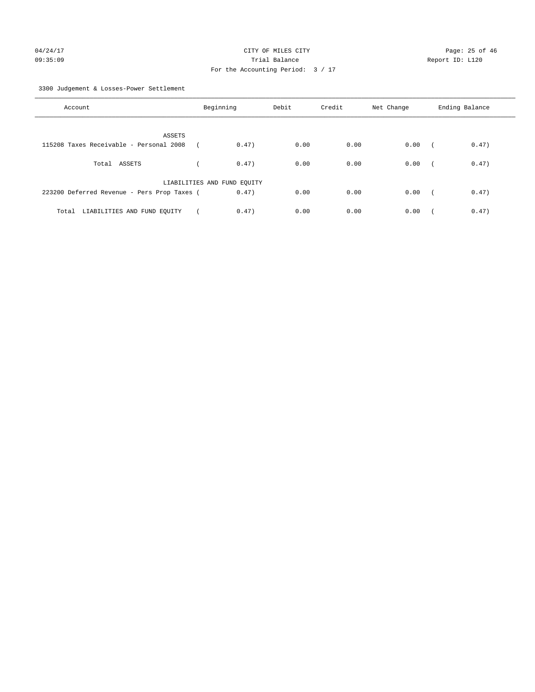3300 Judgement & Losses-Power Settlement

| Account                                     | Beginning                   | Debit | Credit | Net Change | Ending Balance                    |
|---------------------------------------------|-----------------------------|-------|--------|------------|-----------------------------------|
| ASSETS                                      |                             |       |        |            |                                   |
| 115208 Taxes Receivable - Personal 2008     | 0.47)                       | 0.00  | 0.00   | 0.00       | 0.47)<br>$\sqrt{2}$               |
| Total ASSETS                                | 0.47)                       | 0.00  | 0.00   | 0.00       | 0.47)<br>$\sqrt{2}$               |
|                                             | LIABILITIES AND FUND EQUITY |       |        |            |                                   |
| 223200 Deferred Revenue - Pers Prop Taxes ( | 0.47)                       | 0.00  | 0.00   | 0.00       | 0.47)<br>$\overline{\phantom{a}}$ |
| Total LIABILITIES AND FUND EQUITY           | 0.47)                       | 0.00  | 0.00   | 0.00       | 0.47)                             |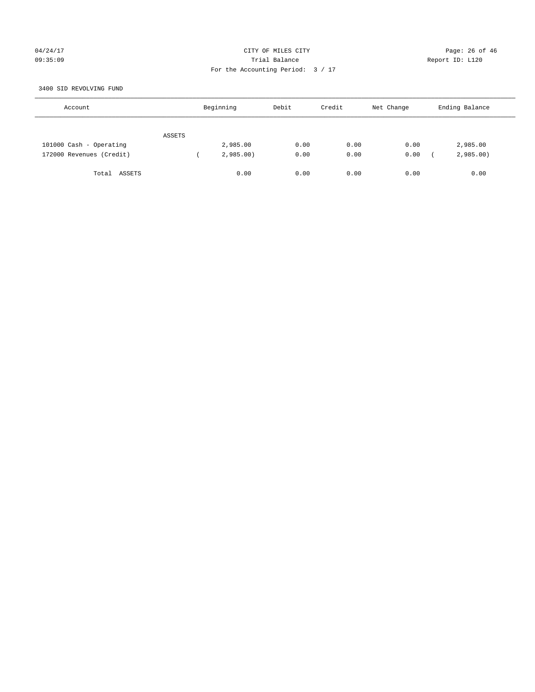## 04/24/17 Page: 26 of 46 09:35:09 Trial Balance Report ID: L120 For the Accounting Period: 3 / 17

#### 3400 SID REVOLVING FUND

| Account                  |        | Beginning | Debit | Credit | Net Change | Ending Balance |  |
|--------------------------|--------|-----------|-------|--------|------------|----------------|--|
|                          | ASSETS |           |       |        |            |                |  |
| 101000 Cash - Operating  |        | 2,985.00  | 0.00  | 0.00   | 0.00       | 2,985.00       |  |
| 172000 Revenues (Credit) |        | 2,985.00  | 0.00  | 0.00   | 0.00       | 2,985.00       |  |
| Total ASSETS             |        | 0.00      | 0.00  | 0.00   | 0.00       | 0.00           |  |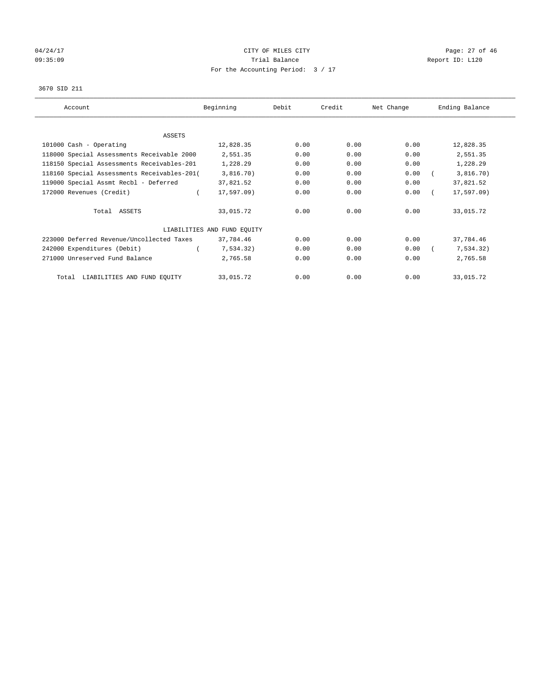# 04/24/17 Page: 27 of 46 09:35:09 Report ID: L120 For the Accounting Period: 3 / 17

#### 3670 SID 211

| Account                                     | Beginning                   | Debit | Credit | Net Change | Ending Balance |
|---------------------------------------------|-----------------------------|-------|--------|------------|----------------|
|                                             |                             |       |        |            |                |
| ASSETS                                      |                             |       |        |            |                |
| 101000 Cash - Operating                     | 12,828.35                   | 0.00  | 0.00   | 0.00       | 12,828.35      |
| 118000 Special Assessments Receivable 2000  | 2,551.35                    | 0.00  | 0.00   | 0.00       | 2,551.35       |
| 118150 Special Assessments Receivables-201  | 1,228.29                    | 0.00  | 0.00   | 0.00       | 1,228.29       |
| 118160 Special Assessments Receivables-201( | 3,816.70)                   | 0.00  | 0.00   | 0.00       | 3,816.70)      |
| 119000 Special Assmt Recbl - Deferred       | 37,821.52                   | 0.00  | 0.00   | 0.00       | 37,821.52      |
| 172000 Revenues (Credit)                    | 17,597.09)                  | 0.00  | 0.00   | 0.00       | $17, 597.09$ ) |
| Total ASSETS                                | 33,015.72                   | 0.00  | 0.00   | 0.00       | 33,015.72      |
|                                             | LIABILITIES AND FUND EQUITY |       |        |            |                |
| 223000 Deferred Revenue/Uncollected Taxes   | 37,784.46                   | 0.00  | 0.00   | 0.00       | 37,784.46      |
| 242000 Expenditures (Debit)                 | 7,534.32)                   | 0.00  | 0.00   | 0.00       | 7,534.32)      |
| 271000 Unreserved Fund Balance              | 2,765.58                    | 0.00  | 0.00   | 0.00       | 2,765.58       |
| LIABILITIES AND FUND EQUITY<br>Total        | 33,015.72                   | 0.00  | 0.00   | 0.00       | 33,015.72      |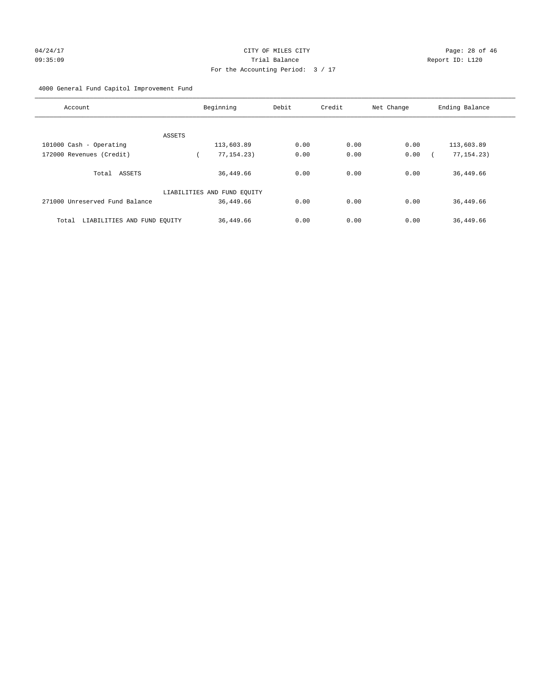4000 General Fund Capitol Improvement Fund

| Account                              | Beginning                   | Debit | Credit | Net Change | Ending Balance |
|--------------------------------------|-----------------------------|-------|--------|------------|----------------|
|                                      |                             |       |        |            |                |
| <b>ASSETS</b>                        |                             |       |        |            |                |
| 101000 Cash - Operating              | 113,603.89                  | 0.00  | 0.00   | 0.00       | 113,603.89     |
| 172000 Revenues (Credit)             | 77, 154. 23)                | 0.00  | 0.00   | 0.00       | 77, 154. 23)   |
| ASSETS<br>Total                      | 36,449.66                   | 0.00  | 0.00   | 0.00       | 36,449.66      |
|                                      | LIABILITIES AND FUND EQUITY |       |        |            |                |
| 271000 Unreserved Fund Balance       | 36,449.66                   | 0.00  | 0.00   | 0.00       | 36,449.66      |
| LIABILITIES AND FUND EQUITY<br>Total | 36,449.66                   | 0.00  | 0.00   | 0.00       | 36,449.66      |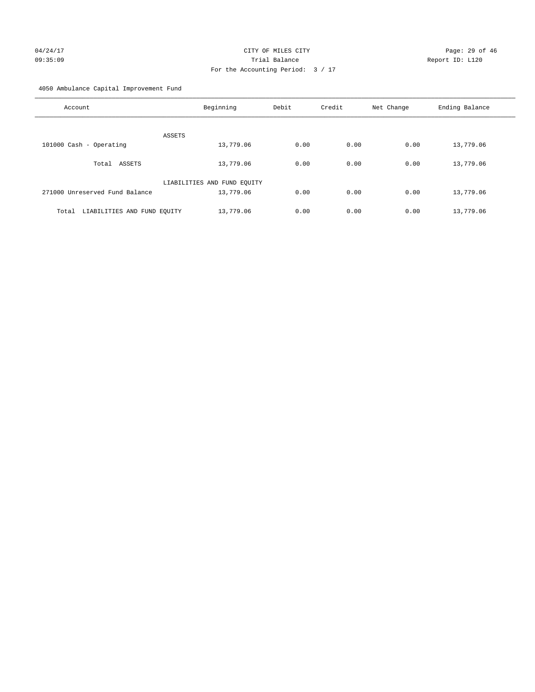# 04/24/17 Page: 29 of 46 09:35:09 Trial Balance Report ID: L120 For the Accounting Period: 3 / 17

4050 Ambulance Capital Improvement Fund

| Account                              | Beginning                   | Debit | Credit | Net Change | Ending Balance |
|--------------------------------------|-----------------------------|-------|--------|------------|----------------|
| ASSETS                               |                             |       |        |            |                |
| 101000 Cash - Operating              | 13,779.06                   | 0.00  | 0.00   | 0.00       | 13,779.06      |
| Total ASSETS                         | 13,779.06                   | 0.00  | 0.00   | 0.00       | 13,779.06      |
|                                      | LIABILITIES AND FUND EQUITY |       |        |            |                |
| 271000 Unreserved Fund Balance       | 13,779.06                   | 0.00  | 0.00   | 0.00       | 13,779.06      |
| LIABILITIES AND FUND EQUITY<br>Total | 13,779.06                   | 0.00  | 0.00   | 0.00       | 13,779.06      |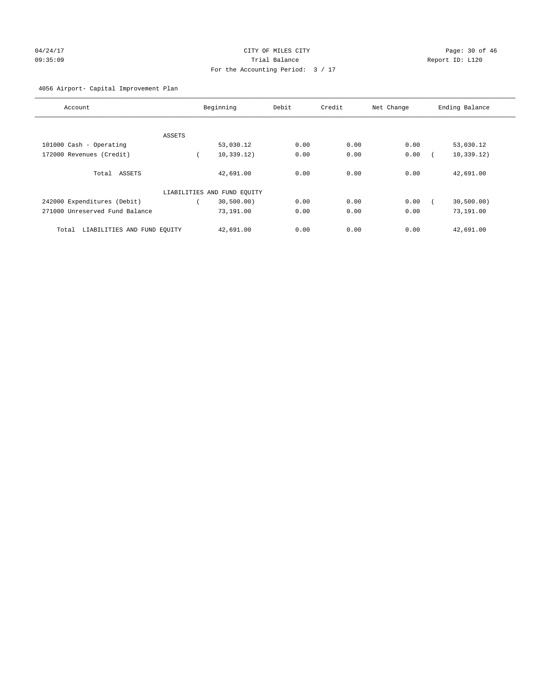# 04/24/17 Page: 30 of 46 09:35:09 Trial Balance Report ID: L120 For the Accounting Period: 3 / 17

## 4056 Airport- Capital Improvement Plan

| Account                              |        | Beginning                   | Debit | Credit | Net Change | Ending Balance |
|--------------------------------------|--------|-----------------------------|-------|--------|------------|----------------|
|                                      |        |                             |       |        |            |                |
|                                      | ASSETS |                             |       |        |            |                |
| 101000 Cash - Operating              |        | 53,030.12                   | 0.00  | 0.00   | 0.00       | 53,030.12      |
| 172000 Revenues (Credit)             |        | 10, 339.12)                 | 0.00  | 0.00   | 0.00       | 10, 339.12)    |
| Total ASSETS                         |        | 42,691.00                   | 0.00  | 0.00   | 0.00       | 42,691.00      |
|                                      |        | LIABILITIES AND FUND EQUITY |       |        |            |                |
| 242000 Expenditures (Debit)          |        | 30,500.00)                  | 0.00  | 0.00   | 0.00       | 30,500.00)     |
| 271000 Unreserved Fund Balance       |        | 73,191.00                   | 0.00  | 0.00   | 0.00       | 73,191.00      |
| LIABILITIES AND FUND EQUITY<br>Total |        | 42,691.00                   | 0.00  | 0.00   | 0.00       | 42,691.00      |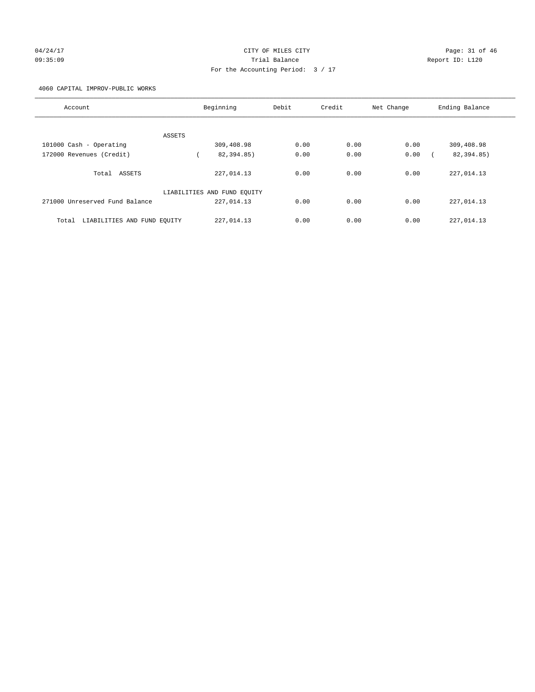# 04/24/17 Page: 31 of 46 Page: 31 of 46 09:35:09 Trial Balance Report ID: L120 For the Accounting Period: 3 / 17

4060 CAPITAL IMPROV-PUBLIC WORKS

|                                      |                             |       | Credit |            |                |
|--------------------------------------|-----------------------------|-------|--------|------------|----------------|
| Account                              | Beginning                   | Debit |        | Net Change | Ending Balance |
|                                      |                             |       |        |            |                |
| ASSETS                               |                             |       |        |            |                |
| 101000 Cash - Operating              | 309,408.98                  | 0.00  | 0.00   | 0.00       | 309,408.98     |
| 172000 Revenues (Credit)             | 82,394.85)                  | 0.00  | 0.00   | 0.00       | 82,394.85)     |
|                                      |                             |       |        |            |                |
| Total<br>ASSETS                      | 227,014.13                  | 0.00  | 0.00   | 0.00       | 227,014.13     |
|                                      |                             |       |        |            |                |
|                                      | LIABILITIES AND FUND EQUITY |       |        |            |                |
| 271000 Unreserved Fund Balance       | 227,014.13                  | 0.00  | 0.00   | 0.00       | 227,014.13     |
|                                      |                             |       |        |            |                |
| LIABILITIES AND FUND EQUITY<br>Total | 227,014.13                  | 0.00  | 0.00   | 0.00       | 227,014.13     |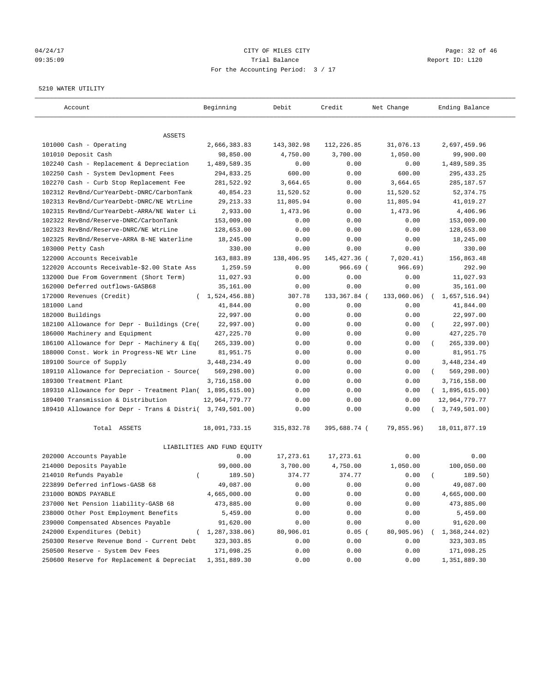## 04/24/17 Page: 32 of 46 09:35:09 Trial Balance Report ID: L120 For the Accounting Period: 3 / 17

#### 5210 WATER UTILITY

| Account                                                   | Beginning                   | Debit      | Credit       | Net Change  | Ending Balance          |
|-----------------------------------------------------------|-----------------------------|------------|--------------|-------------|-------------------------|
| ASSETS                                                    |                             |            |              |             |                         |
| 101000 Cash - Operating                                   | 2,666,383.83                | 143,302.98 | 112,226.85   | 31,076.13   | 2,697,459.96            |
| 101010 Deposit Cash                                       | 98,850.00                   | 4,750.00   | 3,700.00     | 1,050.00    | 99,900.00               |
| 102240 Cash - Replacement & Depreciation                  | 1,489,589.35                | 0.00       | 0.00         | 0.00        | 1,489,589.35            |
| 102250 Cash - System Devlopment Fees                      | 294,833.25                  | 600.00     | 0.00         | 600.00      | 295, 433.25             |
| 102270 Cash - Curb Stop Replacement Fee                   | 281,522.92                  | 3,664.65   | 0.00         | 3,664.65    | 285, 187.57             |
| 102312 RevBnd/CurYearDebt-DNRC/CarbonTank                 | 40,854.23                   | 11,520.52  | 0.00         | 11,520.52   | 52, 374.75              |
| 102313 RevBnd/CurYearDebt-DNRC/NE WtrLine                 | 29, 213. 33                 | 11,805.94  | 0.00         | 11,805.94   | 41,019.27               |
| 102315 RevBnd/CurYearDebt-ARRA/NE Water Li                | 2,933.00                    | 1,473.96   | 0.00         | 1,473.96    | 4,406.96                |
| 102322 RevBnd/Reserve-DNRC/CarbonTank                     | 153,009.00                  | 0.00       | 0.00         | 0.00        | 153,009.00              |
| 102323 RevBnd/Reserve-DNRC/NE WtrLine                     | 128,653.00                  | 0.00       | 0.00         | 0.00        | 128,653.00              |
| 102325 RevBnd/Reserve-ARRA B-NE Waterline                 | 18,245.00                   | 0.00       | 0.00         | 0.00        | 18,245.00               |
| 103000 Petty Cash                                         | 330.00                      | 0.00       | 0.00         | 0.00        | 330.00                  |
| 122000 Accounts Receivable                                | 163,883.89                  | 138,406.95 | 145,427.36 ( | 7,020.41)   | 156,863.48              |
| 122020 Accounts Receivable-\$2.00 State Ass               | 1,259.59                    | 0.00       | $966.69$ (   | 966.69)     | 292.90                  |
| 132000 Due From Government (Short Term)                   | 11,027.93                   | 0.00       | 0.00         | 0.00        | 11,027.93               |
| 162000 Deferred outflows-GASB68                           | 35,161.00                   | 0.00       | 0.00         | 0.00        | 35,161.00               |
| 172000 Revenues (Credit)                                  | (1, 524, 456.88)            | 307.78     | 133,367.84 ( | 133,060.06) | 1,657,516.94)           |
| 181000 Land                                               | 41,844.00                   | 0.00       | 0.00         | 0.00        | 41,844.00               |
| 182000 Buildings                                          | 22,997.00                   | 0.00       | 0.00         | 0.00        | 22,997.00               |
| 182100 Allowance for Depr - Buildings (Cre(               | 22,997.00)                  | 0.00       | 0.00         | 0.00        | 22,997.00)              |
| 186000 Machinery and Equipment                            | 427, 225.70                 | 0.00       | 0.00         | 0.00        | 427, 225.70             |
| 186100 Allowance for Depr - Machinery & Eq(               | 265, 339.00)                | 0.00       | 0.00         | 0.00        | $265, 339.00$ )         |
| 188000 Const. Work in Progress-NE Wtr Line                | 81,951.75                   | 0.00       | 0.00         | 0.00        | 81,951.75               |
| 189100 Source of Supply                                   | 3, 448, 234.49              | 0.00       | 0.00         | 0.00        | 3,448,234.49            |
| 189110 Allowance for Depreciation - Source(               | 569,298.00)                 | 0.00       | 0.00         | 0.00        | 569,298.00)<br>$\left($ |
| 189300 Treatment Plant                                    | 3,716,158.00                | 0.00       | 0.00         | 0.00        | 3,716,158.00            |
| 189310 Allowance for Depr - Treatment Plan(               | 1,895,615.00)               | 0.00       | 0.00         | 0.00        | (1,895,615.00)          |
| 189400 Transmission & Distribution                        | 12,964,779.77               | 0.00       | 0.00         | 0.00        | 12,964,779.77           |
| 189410 Allowance for Depr - Trans & Distri( 3,749,501.00) |                             | 0.00       | 0.00         | 0.00        | 3,749,501.00)           |
| Total ASSETS                                              | 18,091,733.15               | 315,832.78 | 395,688.74 ( | 79,855.96)  | 18,011,877.19           |
|                                                           | LIABILITIES AND FUND EQUITY |            |              |             |                         |
| 202000 Accounts Payable                                   | 0.00                        | 17, 273.61 | 17,273.61    | 0.00        | 0.00                    |
| 214000 Deposits Payable                                   | 99,000.00                   | 3,700.00   | 4,750.00     | 1,050.00    | 100,050.00              |
| 214010 Refunds Payable<br>$\left($                        | 189.50)                     | 374.77     | 374.77       | 0.00        | 189.50)                 |
| 223899 Deferred inflows-GASB 68                           | 49,087.00                   | 0.00       | 0.00         | 0.00        | 49,087.00               |
| 231000 BONDS PAYABLE                                      | 4,665,000.00                | 0.00       | 0.00         | 0.00        | 4,665,000.00            |
| 237000 Net Pension liability-GASB 68                      | 473,885.00                  | 0.00       | 0.00         | 0.00        | 473,885.00              |
| 238000 Other Post Employment Benefits                     | 5,459.00                    | 0.00       | 0.00         | 0.00        | 5,459.00                |
| 239000 Compensated Absences Payable                       | 91,620.00                   | 0.00       | 0.00         | 0.00        | 91,620.00               |
| 242000 Expenditures (Debit)                               | (1, 287, 338.06)            | 80,906.01  | $0.05$ (     | 80,905.96)  | 1,368,244.02)           |
| 250300 Reserve Revenue Bond - Current Debt                | 323, 303.85                 | 0.00       | 0.00         | 0.00        | 323, 303.85             |
| 250500 Reserve - System Dev Fees                          | 171,098.25                  | 0.00       | 0.00         | 0.00        | 171,098.25              |
| 250600 Reserve for Replacement & Depreciat                | 1,351,889.30                | 0.00       | 0.00         | 0.00        | 1,351,889.30            |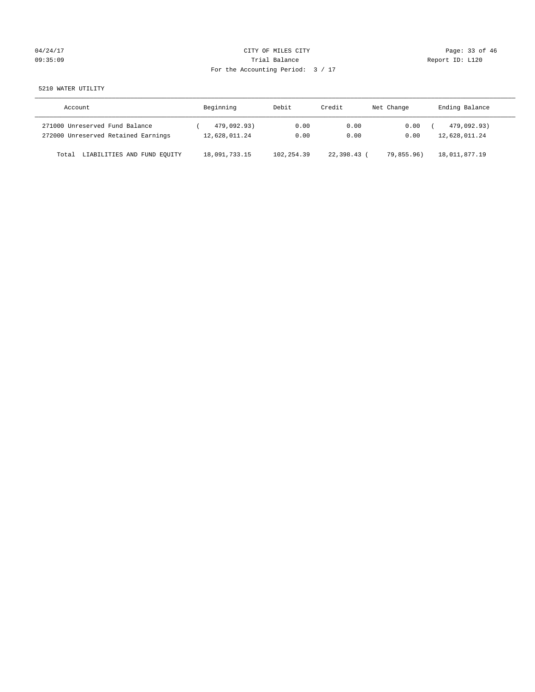# 04/24/17 Page: 33 of 46 09:35:09 Report ID: L120 For the Accounting Period: 3 / 17

5210 WATER UTILITY

| Account                              | Beginning     | Debit        | Credit    | Net Change | Ending Balance |
|--------------------------------------|---------------|--------------|-----------|------------|----------------|
| 271000 Unreserved Fund Balance       | 479,092.93)   | 0.00         | 0.00      | 0.00       | 479,092.93)    |
| 272000 Unreserved Retained Earnings  | 12,628,011.24 | 0.00         | 0.00      | 0.00       | 12,628,011.24  |
| LIABILITIES AND FUND EQUITY<br>Total | 18,091,733.15 | 102, 254, 39 | 22.398.43 | 79,855,96) | 18,011,877.19  |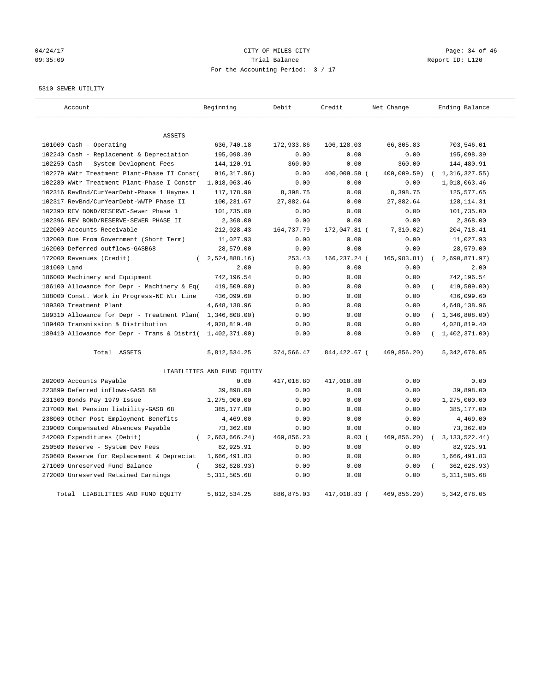# 04/24/17 Page: 34 of 46 Page: 34 of 46 09:35:09 Trial Balance Report ID: L120 For the Accounting Period: 3 / 17

#### 5310 SEWER UTILITY

| Account                                     | Beginning                   | Debit      | Credit       | Net Change   | Ending Balance   |
|---------------------------------------------|-----------------------------|------------|--------------|--------------|------------------|
| <b>ASSETS</b>                               |                             |            |              |              |                  |
| 101000 Cash - Operating                     | 636,740.18                  | 172,933.86 | 106,128.03   | 66,805.83    | 703,546.01       |
| 102240 Cash - Replacement & Depreciation    | 195,098.39                  | 0.00       | 0.00         | 0.00         | 195,098.39       |
| 102250 Cash - System Devlopment Fees        | 144,120.91                  | 360.00     | 0.00         | 360.00       | 144,480.91       |
| 102279 WWtr Treatment Plant-Phase II Const( | 916, 317.96)                | 0.00       | 400,009.59 ( | 400,009.59)  | 1, 316, 327.55)  |
| 102280 WWtr Treatment Plant-Phase I Constr  | 1,018,063.46                | 0.00       | 0.00         | 0.00         | 1,018,063.46     |
| 102316 RevBnd/CurYearDebt-Phase 1 Haynes L  | 117,178.90                  | 8,398.75   | 0.00         | 8,398.75     | 125,577.65       |
| 102317 RevBnd/CurYearDebt-WWTP Phase II     | 100,231.67                  | 27,882.64  | 0.00         | 27,882.64    | 128, 114. 31     |
| 102390 REV BOND/RESERVE-Sewer Phase 1       | 101,735.00                  | 0.00       | 0.00         | 0.00         | 101,735.00       |
| 102396 REV BOND/RESERVE-SEWER PHASE II      | 2,368.00                    | 0.00       | 0.00         | 0.00         | 2,368.00         |
| 122000 Accounts Receivable                  | 212,028.43                  | 164,737.79 | 172,047.81 ( | 7,310.02)    | 204,718.41       |
| 132000 Due From Government (Short Term)     | 11,027.93                   | 0.00       | 0.00         | 0.00         | 11,027.93        |
| 162000 Deferred outflows-GASB68             | 28,579.00                   | 0.00       | 0.00         | 0.00         | 28,579.00        |
| 172000 Revenues (Credit)<br>$\left($        | 2,524,888.16                | 253.43     | 166,237.24 ( | 165, 983.81) | 2,690,871.97)    |
| 181000 Land                                 | 2.00                        | 0.00       | 0.00         | 0.00         | 2.00             |
| 186000 Machinery and Equipment              | 742,196.54                  | 0.00       | 0.00         | 0.00         | 742,196.54       |
| 186100 Allowance for Depr - Machinery & Eq( | 419,509.00)                 | 0.00       | 0.00         | 0.00         | 419,509.00)      |
| 188000 Const. Work in Progress-NE Wtr Line  | 436,099.60                  | 0.00       | 0.00         | 0.00         | 436,099.60       |
| 189300 Treatment Plant                      | 4,648,138.96                | 0.00       | 0.00         | 0.00         | 4,648,138.96     |
| 189310 Allowance for Depr - Treatment Plan( | 1,346,808.00)               | 0.00       | 0.00         | 0.00         | (1, 346, 808.00) |
| 189400 Transmission & Distribution          | 4,028,819.40                | 0.00       | 0.00         | 0.00         | 4,028,819.40     |
| 189410 Allowance for Depr - Trans & Distri( | 1,402,371.00)               | 0.00       | 0.00         | 0.00         | 1,402,371.00     |
| Total ASSETS                                | 5,812,534.25                | 374,566.47 | 844,422.67 ( | 469,856.20)  | 5, 342, 678.05   |
|                                             | LIABILITIES AND FUND EQUITY |            |              |              |                  |
| 202000 Accounts Payable                     | 0.00                        | 417,018.80 | 417,018.80   | 0.00         | 0.00             |
| 223899 Deferred inflows-GASB 68             | 39,898.00                   | 0.00       | 0.00         | 0.00         | 39,898.00        |
| 231300 Bonds Pay 1979 Issue                 | 1,275,000.00                | 0.00       | 0.00         | 0.00         | 1,275,000.00     |
| 237000 Net Pension liability-GASB 68        | 385,177.00                  | 0.00       | 0.00         | 0.00         | 385,177.00       |
| 238000 Other Post Employment Benefits       | 4,469.00                    | 0.00       | 0.00         | 0.00         | 4,469.00         |
| 239000 Compensated Absences Payable         | 73,362.00                   | 0.00       | 0.00         | 0.00         | 73,362.00        |
| 242000 Expenditures (Debit)<br>$\left($     | 2,663,666.24)               | 469,856.23 | $0.03$ (     | 469,856.20)  | 3, 133, 522.44)  |
| 250500 Reserve - System Dev Fees            | 82,925.91                   | 0.00       | 0.00         | 0.00         | 82,925.91        |
| 250600 Reserve for Replacement & Depreciat  | 1,666,491.83                | 0.00       | 0.00         | 0.00         | 1,666,491.83     |
| 271000 Unreserved Fund Balance<br>$\left($  | 362,628.93)                 | 0.00       | 0.00         | 0.00         | 362,628.93)      |
| 272000 Unreserved Retained Earnings         | 5, 311, 505.68              | 0.00       | 0.00         | 0.00         | 5, 311, 505.68   |
| Total LIABILITIES AND FUND EQUITY           | 5,812,534.25                | 886,875.03 | 417,018.83 ( | 469,856.20)  | 5, 342, 678.05   |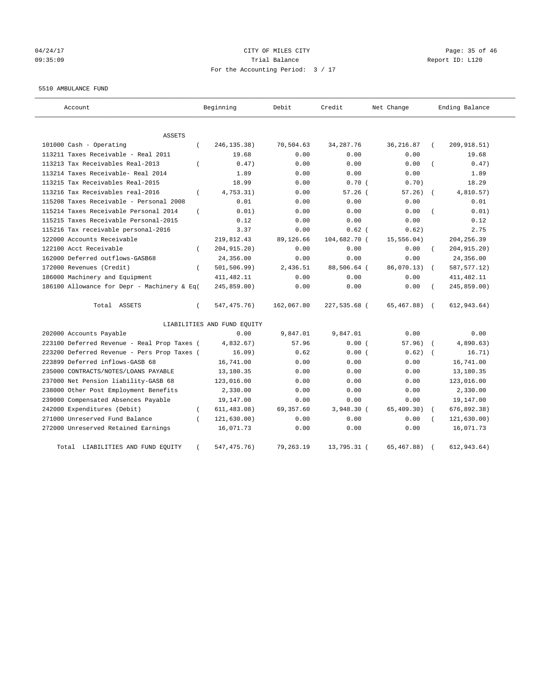# 04/24/17 Page: 35 of 46 09:35:09 Trial Balance Report ID: L120 For the Accounting Period: 3 / 17

#### 5510 AMBULANCE FUND

| Account                                                   | Beginning                   | Debit      | Credit       | Net Change   | Ending Balance             |
|-----------------------------------------------------------|-----------------------------|------------|--------------|--------------|----------------------------|
| <b>ASSETS</b>                                             |                             |            |              |              |                            |
| 101000 Cash - Operating<br>$\left($                       | 246, 135. 38)               | 70,504.63  | 34, 287. 76  | 36, 216.87   | 209,918.51)                |
| 113211 Taxes Receivable - Real 2011                       | 19.68                       | 0.00       | 0.00         | 0.00         | 19.68                      |
| 113213 Tax Receivables Real-2013                          | 0.47)                       | 0.00       | 0.00         | 0.00         | 0.47)                      |
| 113214 Taxes Receivable- Real 2014                        | 1.89                        | 0.00       | 0.00         | 0.00         | 1.89                       |
| 113215 Tax Receivables Real-2015                          | 18.99                       | 0.00       | 0.70(        | 0.70)        | 18.29                      |
| 113216 Tax Receivables real-2016<br>$\left($              | 4,753.31)                   | 0.00       | 57.26(       | 57.26)       | 4,810.57)<br>$\left($      |
| 115208 Taxes Receivable - Personal 2008                   | 0.01                        | 0.00       | 0.00         | 0.00         | 0.01                       |
| 115214 Taxes Receivable Personal 2014<br>$\overline{(\ }$ | 0.01)                       | 0.00       | 0.00         | 0.00         | 0.01)                      |
| 115215 Taxes Receivable Personal-2015                     | 0.12                        | 0.00       | 0.00         | 0.00         | 0.12                       |
| 115216 Tax receivable personal-2016                       | 3.37                        | 0.00       | $0.62$ (     | 0.62)        | 2.75                       |
| 122000 Accounts Receivable                                | 219,812.43                  | 89,126.66  | 104,682.70 ( | 15, 556.04)  | 204, 256.39                |
| 122100 Acct Receivable<br>$\left($                        | 204, 915. 20)               | 0.00       | 0.00         | 0.00         | 204, 915.20)               |
| 162000 Deferred outflows-GASB68                           | 24,356.00                   | 0.00       | 0.00         | 0.00         | 24,356.00                  |
| 172000 Revenues (Credit)<br>$\left($                      | 501, 506.99)                | 2,436.51   | 88,506.64 (  | 86,070.13)   | 587, 577.12)<br>$\sqrt{2}$ |
| 186000 Machinery and Equipment                            | 411, 482.11                 | 0.00       | 0.00         | 0.00         | 411, 482.11                |
| 186100 Allowance for Depr - Machinery & Eq(               | 245,859.00)                 | 0.00       | 0.00         | 0.00         | 245,859.00)                |
| Total ASSETS<br>$\left($                                  | 547,475.76)                 | 162,067.80 | 227,535.68 ( | 65,467.88) ( | 612, 943.64)               |
|                                                           | LIABILITIES AND FUND EQUITY |            |              |              |                            |
| 202000 Accounts Payable                                   | 0.00                        | 9,847.01   | 9,847.01     | 0.00         | 0.00                       |
| 223100 Deferred Revenue - Real Prop Taxes (               | 4,832.67)                   | 57.96      | 0.00(        | 57.96)       | 4,890.63)                  |
| 223200 Deferred Revenue - Pers Prop Taxes (               | 16.09)                      | 0.62       | 0.00(        | 0.62)        | 16.71)                     |
| 223899 Deferred inflows-GASB 68                           | 16,741.00                   | 0.00       | 0.00         | 0.00         | 16,741.00                  |
| 235000 CONTRACTS/NOTES/LOANS PAYABLE                      | 13,180.35                   | 0.00       | 0.00         | 0.00         | 13,180.35                  |
| 237000 Net Pension liability-GASB 68                      | 123,016.00                  | 0.00       | 0.00         | 0.00         | 123,016.00                 |
| 238000 Other Post Employment Benefits                     | 2,330.00                    | 0.00       | 0.00         | 0.00         | 2,330.00                   |
| 239000 Compensated Absences Payable                       | 19,147.00                   | 0.00       | 0.00         | 0.00         | 19,147.00                  |
| 242000 Expenditures (Debit)<br>$\left($                   | 611, 483.08)                | 69,357.60  | $3,948.30$ ( | 65,409.30)   | 676,892.38)                |
| 271000 Unreserved Fund Balance                            | 121, 630.00)                | 0.00       | 0.00         | 0.00         | 121,630.00)                |
| 272000 Unreserved Retained Earnings                       | 16,071.73                   | 0.00       | 0.00         | 0.00         | 16,071.73                  |
| Total LIABILITIES AND FUND EQUITY                         | 547, 475. 76)               | 79,263.19  | 13,795.31 (  | 65, 467.88)  | 612, 943.64)               |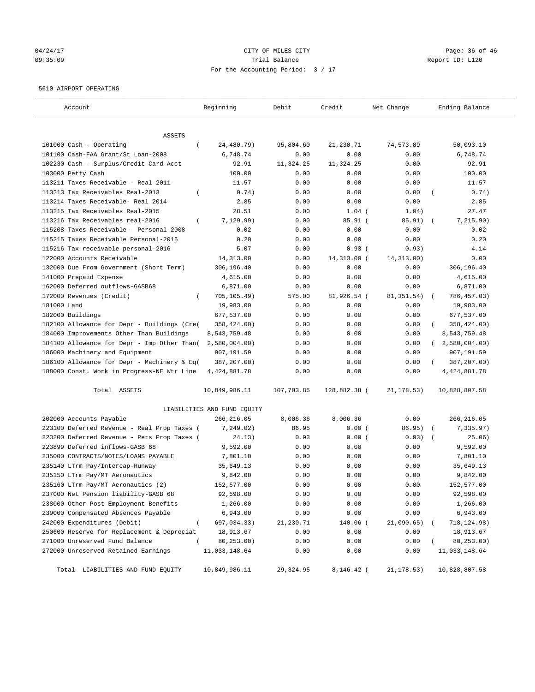# 04/24/17 Page: 36 of 46 09:35:09 Trial Balance Report ID: L120 For the Accounting Period: 3 / 17

#### 5610 AIRPORT OPERATING

| Account                                                   | Beginning                   | Debit        | Credit              | Net Change          | Ending Balance             |
|-----------------------------------------------------------|-----------------------------|--------------|---------------------|---------------------|----------------------------|
|                                                           |                             |              |                     |                     |                            |
| <b>ASSETS</b><br>101000 Cash - Operating<br>$\left($      | 24,480.79)                  | 95,804.60    | 21,230.71           | 74,573.89           | 50,093.10                  |
| 101100 Cash-FAA Grant/St Loan-2008                        | 6,748.74                    | 0.00         | 0.00                | 0.00                | 6,748.74                   |
| 102230 Cash - Surplus/Credit Card Acct                    | 92.91                       | 11,324.25    | 11,324.25           | 0.00                | 92.91                      |
| 103000 Petty Cash                                         | 100.00                      | 0.00         | 0.00                | 0.00                | 100.00                     |
| 113211 Taxes Receivable - Real 2011                       | 11.57                       | 0.00         | 0.00                | 0.00                | 11.57                      |
| 113213 Tax Receivables Real-2013                          | 0.74)                       | 0.00         | 0.00                | 0.00                | 0.74)                      |
| 113214 Taxes Receivable- Real 2014                        | 2.85                        | 0.00         | 0.00                | 0.00                | 2.85                       |
| 113215 Tax Receivables Real-2015                          | 28.51                       | 0.00         | $1.04$ (            | 1.04)               | 27.47                      |
| 113216 Tax Receivables real-2016<br>$\left($              | 7,129.99)                   | 0.00         | 85.91(              | 85.91)              | 7,215.90)                  |
| 115208 Taxes Receivable - Personal 2008                   | 0.02                        | 0.00         | 0.00                | 0.00                | 0.02                       |
| 115215 Taxes Receivable Personal-2015                     | 0.20                        | 0.00         | 0.00                | 0.00                | 0.20                       |
| 115216 Tax receivable personal-2016                       | 5.07                        | 0.00         | 0.93(               | 0.93)               | 4.14                       |
| 122000 Accounts Receivable                                |                             |              |                     |                     | 0.00                       |
|                                                           | 14,313.00<br>306,196.40     | 0.00<br>0.00 | 14,313.00 (<br>0.00 | 14, 313.00)<br>0.00 | 306,196.40                 |
| 132000 Due From Government (Short Term)                   |                             |              | 0.00                |                     |                            |
| 141000 Prepaid Expense<br>162000 Deferred outflows-GASB68 | 4,615.00                    | 0.00         |                     | 0.00                | 4,615.00                   |
|                                                           | 6,871.00                    | 0.00         | 0.00<br>81,926.54 ( | 0.00<br>81, 351.54) | 6,871.00                   |
| 172000 Revenues (Credit)<br>$\left($                      | 705, 105.49)                | 575.00       |                     |                     | 786, 457.03)<br>$\sqrt{2}$ |
| 181000 Land                                               | 19,983.00<br>677,537.00     | 0.00         | 0.00                | 0.00                | 19,983.00                  |
| 182000 Buildings                                          |                             | 0.00         | 0.00                | 0.00                | 677,537.00                 |
| 182100 Allowance for Depr - Buildings (Cre(               | 358,424.00)                 | 0.00         | 0.00                | 0.00                | 358,424.00)                |
| 184000 Improvements Other Than Buildings                  | 8,543,759.48                | 0.00         | 0.00                | 0.00                | 8,543,759.48               |
| 184100 Allowance for Depr - Imp Other Than(               | $2,580,004.00$ )            | 0.00         | 0.00                | 0.00                | 2,580,004.00<br>$\sqrt{2}$ |
| 186000 Machinery and Equipment                            | 907,191.59                  | 0.00         | 0.00                | 0.00                | 907,191.59                 |
| 186100 Allowance for Depr - Machinery & Eq(               | 387,207.00)                 | 0.00         | 0.00                | 0.00                | 387,207.00)<br>$\left($    |
| 188000 Const. Work in Progress-NE Wtr Line                | 4, 424, 881.78              | 0.00         | 0.00                | 0.00                | 4, 424, 881.78             |
| Total ASSETS                                              | 10,849,986.11               | 107,703.85   | 128,882.38 (        | 21, 178.53)         | 10,828,807.58              |
|                                                           | LIABILITIES AND FUND EQUITY |              |                     |                     |                            |
| 202000 Accounts Payable                                   | 266,216.05                  | 8,006.36     | 8,006.36            | 0.00                | 266,216.05                 |
| 223100 Deferred Revenue - Real Prop Taxes (               | 7,249.02)                   | 86.95        | 0.00(               | 86.95)              | 7,335.97)                  |
| 223200 Deferred Revenue - Pers Prop Taxes (               | 24.13)                      | 0.93         | 0.00(               | 0.93)               | 25.06)<br>$\sqrt{2}$       |
| 223899 Deferred inflows-GASB 68                           | 9,592.00                    | 0.00         | 0.00                | 0.00                | 9,592.00                   |
| 235000 CONTRACTS/NOTES/LOANS PAYABLE                      | 7,801.10                    | 0.00         | 0.00                | 0.00                | 7,801.10                   |
| 235140 LTrm Pay/Intercap-Runway                           | 35,649.13                   | 0.00         | 0.00                | 0.00                | 35,649.13                  |
| 235150 LTrm Pay/MT Aeronautics                            | 9,842.00                    | 0.00         | 0.00                | 0.00                | 9,842.00                   |
| 235160 LTrm Pay/MT Aeronautics (2)                        | 152,577.00                  | 0.00         | 0.00                | 0.00                | 152,577.00                 |
| 237000 Net Pension liability-GASB 68                      | 92,598.00                   | 0.00         | 0.00                | 0.00                | 92,598.00                  |
| 238000 Other Post Employment Benefits                     | 1,266.00                    | 0.00         | 0.00                | 0.00                | 1,266.00                   |
| 239000 Compensated Absences Payable                       | 6,943.00                    | 0.00         | 0.00                | 0.00                | 6,943.00                   |
| 242000 Expenditures (Debit)                               | 697,034.33)                 | 21,230.71    | 140.06 (            | 21,090.65)          | 718,124.98)                |
| 250600 Reserve for Replacement & Depreciat                | 18,913.67                   | 0.00         | 0.00                | 0.00                | 18,913.67                  |
| 271000 Unreserved Fund Balance                            | 80,253.00)                  | 0.00         | 0.00                | 0.00                | 80,253.00)                 |
| 272000 Unreserved Retained Earnings                       | 11,033,148.64               | 0.00         | 0.00                | 0.00                | 11,033,148.64              |
| Total LIABILITIES AND FUND EQUITY                         | 10,849,986.11               | 29,324.95    | 8,146.42 (          | 21,178.53)          | 10,828,807.58              |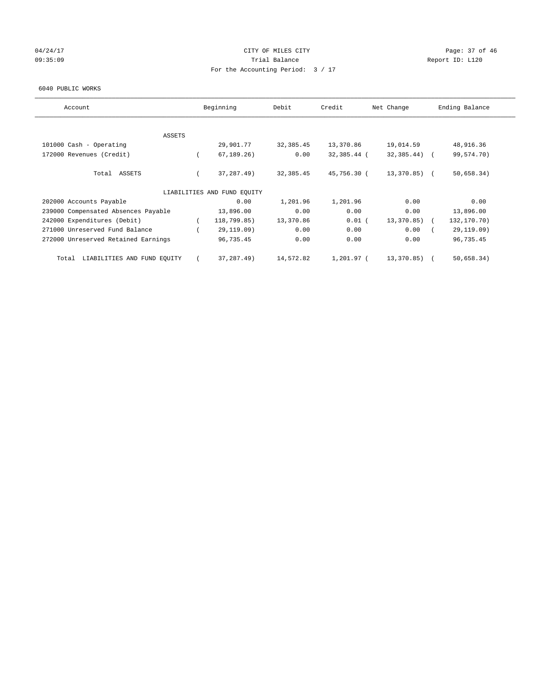## 04/24/17 Page: 37 of 46 09:35:09 Report ID: L120 For the Accounting Period: 3 / 17

#### 6040 PUBLIC WORKS

| Account                              | Beginning                   | Debit     | Credit      | Net Change      | Ending Balance |
|--------------------------------------|-----------------------------|-----------|-------------|-----------------|----------------|
|                                      |                             |           |             |                 |                |
| ASSETS<br>101000 Cash - Operating    | 29,901.77                   | 32,385.45 | 13,370.86   | 19,014.59       | 48,916.36      |
| 172000 Revenues (Credit)             | 67, 189, 26)                | 0.00      | 32,385.44 ( | $32,385.44$ ) ( | 99,574.70)     |
| Total ASSETS                         | 37, 287. 49)                | 32,385.45 | 45,756.30 ( | 13,370.85) (    | 50,658.34)     |
|                                      | LIABILITIES AND FUND EQUITY |           |             |                 |                |
| 202000 Accounts Payable              | 0.00                        | 1,201.96  | 1,201.96    | 0.00            | 0.00           |
| 239000 Compensated Absences Payable  | 13,896.00                   | 0.00      | 0.00        | 0.00            | 13,896.00      |
| 242000 Expenditures (Debit)          | 118,799.85)                 | 13,370.86 | $0.01$ (    | 13,370.85)      | 132,170.70)    |
| 271000 Unreserved Fund Balance       | 29,119.09)                  | 0.00      | 0.00        | 0.00            | 29,119.09)     |
| 272000 Unreserved Retained Earnings  | 96,735.45                   | 0.00      | 0.00        | 0.00            | 96,735.45      |
| LIABILITIES AND FUND EQUITY<br>Total | 37, 287. 49)                | 14,572.82 | 1,201.97 (  | 13,370.85)      | 50,658.34)     |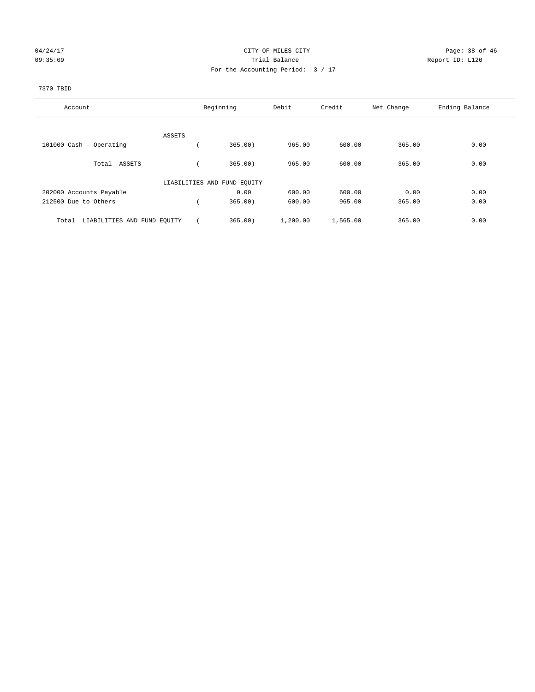## 04/24/17 Page: 38 of 46 09:35:09 Report ID: L120 For the Accounting Period: 3 / 17

#### 7370 TBID

| Account                              |        | Beginning                   | Debit    | Credit   | Net Change | Ending Balance |
|--------------------------------------|--------|-----------------------------|----------|----------|------------|----------------|
|                                      | ASSETS |                             |          |          |            |                |
| 101000 Cash - Operating              |        | 365.00                      | 965.00   | 600.00   | 365.00     | 0.00           |
| Total ASSETS                         |        | 365.00                      | 965.00   | 600.00   | 365.00     | 0.00           |
|                                      |        | LIABILITIES AND FUND EQUITY |          |          |            |                |
| 202000 Accounts Payable              |        | 0.00                        | 600.00   | 600.00   | 0.00       | 0.00           |
| 212500 Due to Others                 |        | 365.00                      | 600.00   | 965.00   | 365.00     | 0.00           |
| LIABILITIES AND FUND EQUITY<br>Total |        | 365.00                      | 1,200.00 | 1,565.00 | 365.00     | 0.00           |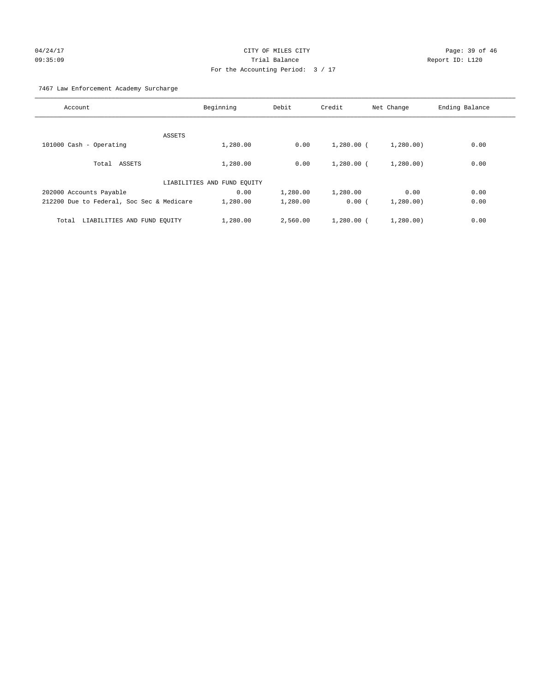# 04/24/17 Page: 39 of 46 09:35:09 Trial Balance Report ID: L120 For the Accounting Period: 3 / 17

7467 Law Enforcement Academy Surcharge

| Account                                   | Beginning                   | Debit    | Credit       | Net Change | Ending Balance |
|-------------------------------------------|-----------------------------|----------|--------------|------------|----------------|
|                                           |                             |          |              |            |                |
| ASSETS                                    |                             |          |              |            |                |
| 101000 Cash - Operating                   | 1,280.00                    | 0.00     | $1,280.00$ ( | 1,280.00)  | 0.00           |
| Total ASSETS                              | 1,280.00                    | 0.00     | $1,280.00$ ( | 1,280.00)  | 0.00           |
|                                           | LIABILITIES AND FUND EQUITY |          |              |            |                |
| 202000 Accounts Payable                   | 0.00                        | 1,280.00 | 1,280.00     | 0.00       | 0.00           |
| 212200 Due to Federal, Soc Sec & Medicare | 1,280.00                    | 1,280.00 | 0.00(        | 1,280.00)  | 0.00           |
| LIABILITIES AND FUND EQUITY<br>Total      | 1,280.00                    | 2,560.00 | $1,280.00$ ( | 1,280.00   | 0.00           |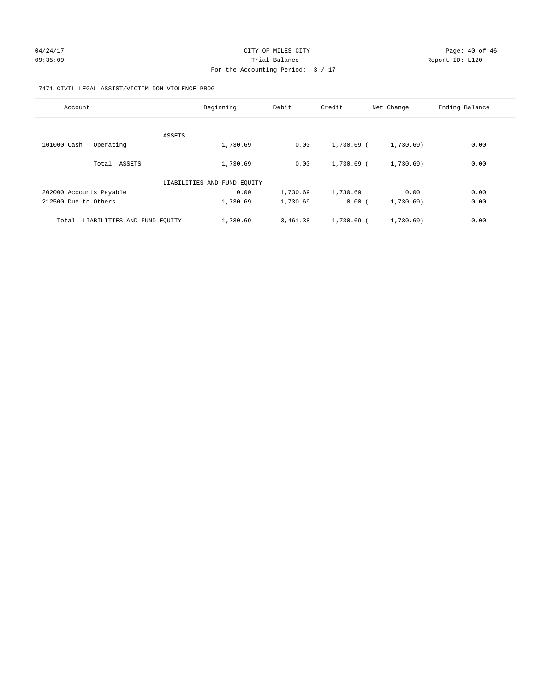#### 7471 CIVIL LEGAL ASSIST/VICTIM DOM VIOLENCE PROG

| Account                              | Beginning                   | Debit    | Credit     | Net Change | Ending Balance |
|--------------------------------------|-----------------------------|----------|------------|------------|----------------|
|                                      |                             |          |            |            |                |
|                                      | ASSETS                      |          |            |            |                |
| 101000 Cash - Operating              | 1,730.69                    | 0.00     | 1,730.69 ( | 1,730.69)  | 0.00           |
| Total ASSETS                         | 1,730.69                    | 0.00     | 1,730.69 ( | 1,730.69)  | 0.00           |
|                                      | LIABILITIES AND FUND EQUITY |          |            |            |                |
| 202000 Accounts Payable              | 0.00                        | 1,730.69 | 1,730.69   | 0.00       | 0.00           |
| 212500 Due to Others                 | 1,730.69                    | 1,730.69 | 0.00(      | 1,730.69)  | 0.00           |
| LIABILITIES AND FUND EQUITY<br>Total | 1,730.69                    | 3,461.38 | 1,730.69 ( | 1,730.69)  | 0.00           |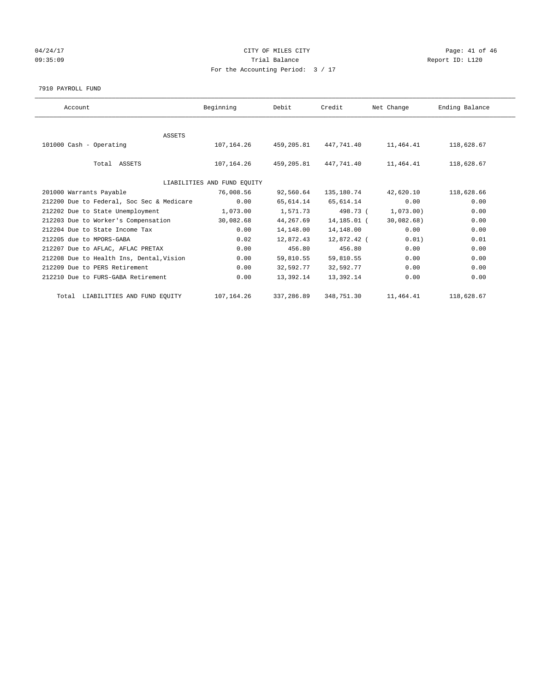## 04/24/17 Page: 41 of 46 Page: 41 of 46 Page: 41 of 46 Page: 41 of 46 Page: 41 of 46 09:35:09 Report ID: L120 For the Accounting Period: 3 / 17

#### 7910 PAYROLL FUND

| Account                                   | Beginning                   | Debit      | Credit      | Net Change | Ending Balance |  |
|-------------------------------------------|-----------------------------|------------|-------------|------------|----------------|--|
|                                           |                             |            |             |            |                |  |
| <b>ASSETS</b>                             |                             |            |             |            |                |  |
| 101000 Cash - Operating                   | 107,164.26                  | 459,205.81 | 447.741.40  | 11,464.41  | 118,628.67     |  |
|                                           |                             |            |             |            |                |  |
| Total ASSETS                              | 107,164.26                  | 459,205.81 | 447,741.40  | 11,464.41  | 118,628.67     |  |
|                                           |                             |            |             |            |                |  |
|                                           | LIABILITIES AND FUND EQUITY |            |             |            |                |  |
| 201000 Warrants Payable                   | 76,008.56                   | 92,560.64  | 135,180.74  | 42,620.10  | 118,628.66     |  |
| 212200 Due to Federal, Soc Sec & Medicare | 0.00                        | 65,614.14  | 65,614.14   | 0.00       | 0.00           |  |
| 212202 Due to State Unemployment          | 1,073.00                    | 1,571.73   | 498.73 (    | 1,073.00)  | 0.00           |  |
| 212203 Due to Worker's Compensation       | 30,082.68                   | 44,267.69  | 14,185.01 ( | 30,082.68) | 0.00           |  |
| 212204 Due to State Income Tax            | 0.00                        | 14,148.00  | 14,148.00   | 0.00       | 0.00           |  |
| 212205 due to MPORS-GABA                  | 0.02                        | 12,872.43  | 12,872.42 ( | 0.01)      | 0.01           |  |
| 212207 Due to AFLAC, AFLAC PRETAX         | 0.00                        | 456.80     | 456.80      | 0.00       | 0.00           |  |
| 212208 Due to Health Ins, Dental, Vision  | 0.00                        | 59,810.55  | 59,810.55   | 0.00       | 0.00           |  |
| 212209 Due to PERS Retirement             | 0.00                        | 32,592.77  | 32,592.77   | 0.00       | 0.00           |  |
| 212210 Due to FURS-GABA Retirement        | 0.00                        | 13,392.14  | 13,392.14   | 0.00       | 0.00           |  |
|                                           |                             |            |             |            |                |  |
| Total LIABILITIES AND FUND EQUITY         | 107,164.26                  | 337,286.89 | 348,751.30  | 11,464.41  | 118,628.67     |  |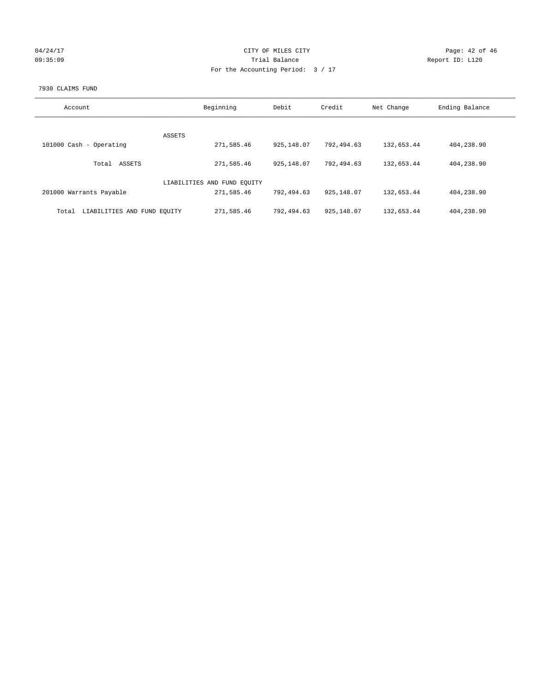| 04/24/17 |  |
|----------|--|
| 09:35:09 |  |

# CITY OF MILES CITY Page: 42 of 46<br>Trial Balance Report ID: L120 09:35:09 Report ID: L120 For the Accounting Period: 3 / 17

#### 7930 CLAIMS FUND

| Account                              | Beginning                   | Debit       | Credit       | Net Change | Ending Balance |
|--------------------------------------|-----------------------------|-------------|--------------|------------|----------------|
|                                      |                             |             |              |            |                |
|                                      | <b>ASSETS</b>               |             |              |            |                |
| 101000 Cash - Operating              | 271,585.46                  | 925, 148.07 | 792,494.63   | 132,653.44 | 404,238.90     |
| ASSETS<br>Total                      | 271,585.46                  | 925, 148.07 | 792,494.63   | 132,653.44 | 404,238.90     |
|                                      |                             |             |              |            |                |
|                                      | LIABILITIES AND FUND EQUITY |             |              |            |                |
| 201000 Warrants Payable              | 271,585.46                  | 792,494.63  | 925,148.07   | 132,653.44 | 404,238.90     |
| LIABILITIES AND FUND EQUITY<br>Total | 271,585.46                  | 792,494.63  | 925, 148, 07 | 132,653.44 | 404,238.90     |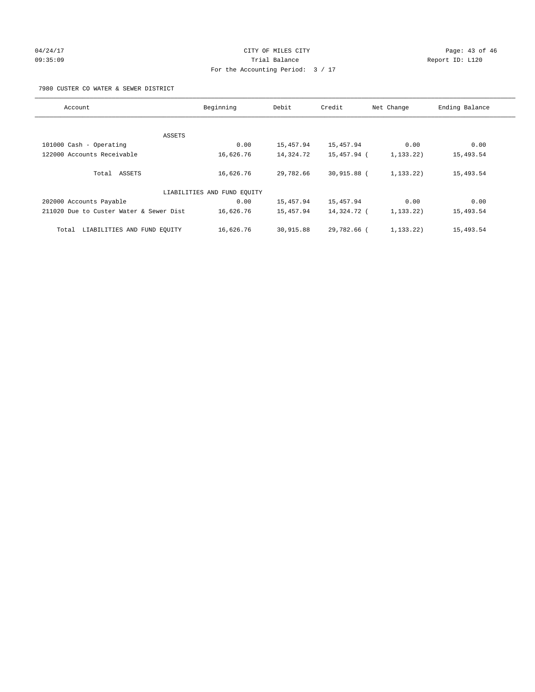# 04/24/17 Page: 43 of 46 09:35:09 Trial Balance Report ID: L120 For the Accounting Period: 3 / 17

7980 CUSTER CO WATER & SEWER DISTRICT

| Account                                 | Beginning                   | Debit     | Credit        | Net Change  | Ending Balance |
|-----------------------------------------|-----------------------------|-----------|---------------|-------------|----------------|
|                                         |                             |           |               |             |                |
| ASSETS                                  |                             |           |               |             |                |
| 101000 Cash - Operating                 | 0.00                        | 15,457.94 | 15,457.94     | 0.00        | 0.00           |
| 122000 Accounts Receivable              | 16,626.76                   | 14,324.72 | 15,457.94 (   | 1,133.22)   | 15,493.54      |
| Total ASSETS                            | 16,626.76                   | 29,782.66 | 30,915.88 (   | 1,133.22)   | 15,493.54      |
|                                         | LIABILITIES AND FUND EQUITY |           |               |             |                |
| 202000 Accounts Payable                 | 0.00                        | 15,457.94 | 15,457.94     | 0.00        | 0.00           |
| 211020 Due to Custer Water & Sewer Dist | 16,626.76                   | 15,457.94 | 14,324.72 (   | 1,133.22)   | 15,493.54      |
| LIABILITIES AND FUND EOUITY<br>Total    | 16,626.76                   | 30,915.88 | $29.782.66$ ( | 1, 133, 22) | 15,493.54      |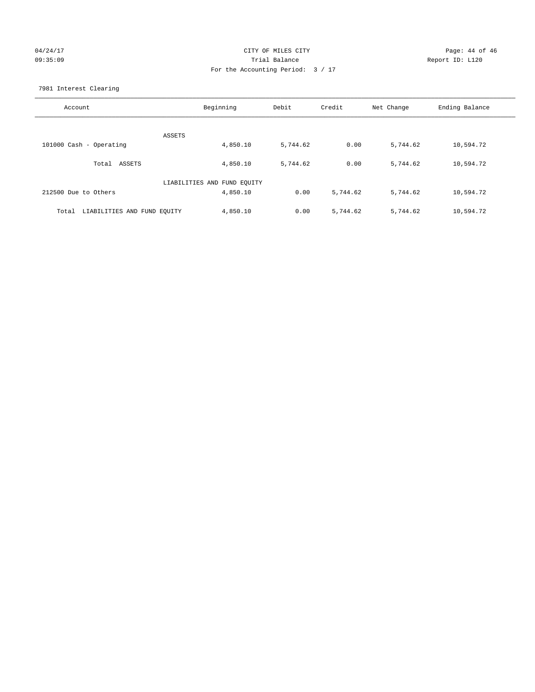## 04/24/17 Page: 44 of 46 09:35:09 Trial Balance Report ID: L120 For the Accounting Period: 3 / 17

7981 Interest Clearing

| Account                              | Beginning                   | Debit    | Credit   | Net Change | Ending Balance |
|--------------------------------------|-----------------------------|----------|----------|------------|----------------|
|                                      | ASSETS                      |          |          |            |                |
| 101000 Cash - Operating              | 4,850.10                    | 5,744.62 | 0.00     | 5,744.62   | 10,594.72      |
| Total ASSETS                         | 4,850.10                    | 5,744.62 | 0.00     | 5,744.62   | 10,594.72      |
|                                      | LIABILITIES AND FUND EQUITY |          |          |            |                |
| 212500 Due to Others                 | 4,850.10                    | 0.00     | 5,744.62 | 5,744.62   | 10,594.72      |
| LIABILITIES AND FUND EQUITY<br>Total | 4,850.10                    | 0.00     | 5,744.62 | 5,744.62   | 10,594.72      |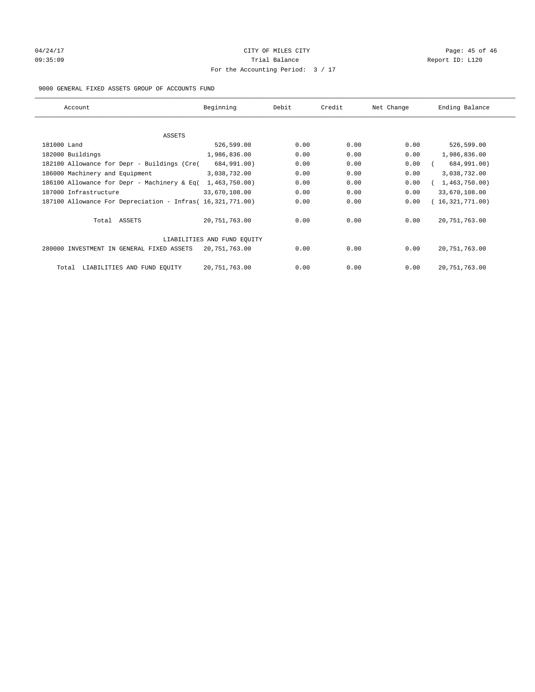# 04/24/17 Page: 45 of 46 Page: 45 of 46 Page: 45 of 46 Page: 45 of 46 Page: 45 of 46 09:35:09 Report ID: L120 For the Accounting Period: 3 / 17

#### 9000 GENERAL FIXED ASSETS GROUP OF ACCOUNTS FUND

| Account                                                    | Beginning                   | Debit | Credit | Net Change | Ending Balance  |
|------------------------------------------------------------|-----------------------------|-------|--------|------------|-----------------|
| ASSETS                                                     |                             |       |        |            |                 |
| 181000 Land                                                | 526,599.00                  | 0.00  | 0.00   | 0.00       | 526,599.00      |
| 182000 Buildings                                           | 1,986,836.00                | 0.00  | 0.00   | 0.00       | 1,986,836.00    |
| 182100 Allowance for Depr - Buildings (Cre(                | 684,991.00)                 | 0.00  | 0.00   | 0.00       | 684,991.00)     |
| 186000 Machinery and Equipment                             | 3,038,732.00                | 0.00  | 0.00   | 0.00       | 3,038,732.00    |
| 186100 Allowance for Depr - Machinery & Eq(                | 1,463,750.00)               | 0.00  | 0.00   | 0.00       | 1,463,750.00    |
| 187000 Infrastructure                                      | 33,670,108.00               | 0.00  | 0.00   | 0.00       | 33,670,108.00   |
| 187100 Allowance For Depreciation - Infras( 16,321,771.00) |                             | 0.00  | 0.00   | 0.00       | 16,321,771.00)  |
| Total ASSETS                                               | 20,751,763.00               | 0.00  | 0.00   | 0.00       | 20, 751, 763.00 |
|                                                            | LIABILITIES AND FUND EQUITY |       |        |            |                 |
| 280000 INVESTMENT IN GENERAL FIXED ASSETS                  | 20,751,763.00               | 0.00  | 0.00   | 0.00       | 20, 751, 763.00 |
| LIABILITIES AND FUND EQUITY<br>Total                       | 20, 751, 763.00             | 0.00  | 0.00   | 0.00       | 20, 751, 763.00 |